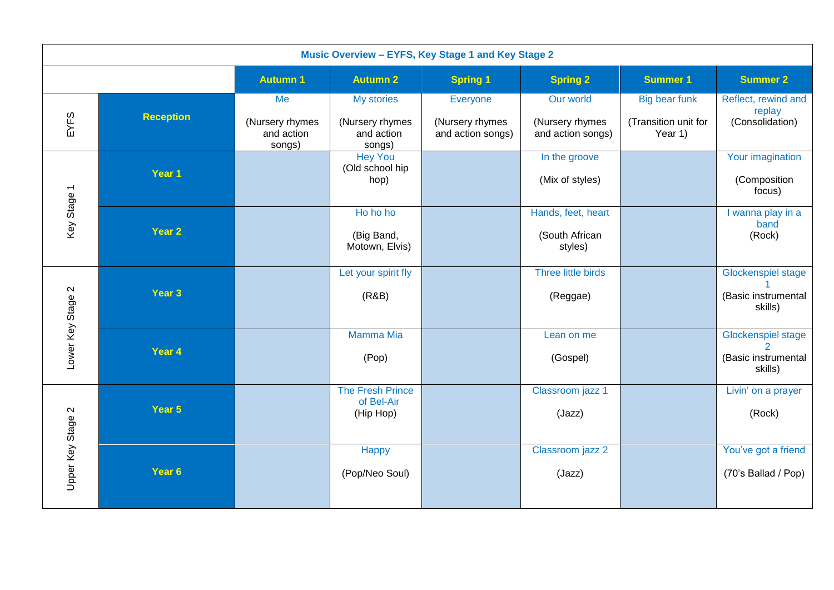| Music Overview - EYFS, Key Stage 1 and Key Stage 2 |                   |                                               |                                                       |                                                  |                                                   |                                                  |                                                             |
|----------------------------------------------------|-------------------|-----------------------------------------------|-------------------------------------------------------|--------------------------------------------------|---------------------------------------------------|--------------------------------------------------|-------------------------------------------------------------|
|                                                    |                   | <b>Autumn 1</b>                               | <b>Autumn 2</b>                                       | <b>Spring 1</b>                                  | <b>Spring 2</b>                                   | <b>Summer 1</b>                                  | <b>Summer 2</b>                                             |
| EYFS                                               | <b>Reception</b>  | Me<br>(Nursery rhymes<br>and action<br>songs) | My stories<br>(Nursery rhymes<br>and action<br>songs) | Everyone<br>(Nursery rhymes<br>and action songs) | Our world<br>(Nursery rhymes<br>and action songs) | Big bear funk<br>(Transition unit for<br>Year 1) | Reflect, rewind and<br>replay<br>(Consolidation)            |
|                                                    | Year 1            |                                               | <b>Hey You</b><br>(Old school hip<br>hop)             |                                                  | In the groove<br>(Mix of styles)                  |                                                  | Your imagination<br>(Composition<br>focus)                  |
| Key Stage 1                                        | Year 2            |                                               | Ho ho ho<br>(Big Band,<br>Motown, Elvis)              |                                                  | Hands, feet, heart<br>(South African<br>styles)   |                                                  | I wanna play in a<br>band<br>(Rock)                         |
| $\mathbf{\Omega}$                                  | Year <sub>3</sub> |                                               | Let your spirit fly<br>(R&B)                          |                                                  | Three little birds<br>(Reggae)                    |                                                  | <b>Glockenspiel stage</b><br>(Basic instrumental<br>skills) |
| Lower Key Stage                                    | Year 4            |                                               | <b>Mamma Mia</b><br>(Pop)                             |                                                  | Lean on me<br>(Gospel)                            |                                                  | <b>Glockenspiel stage</b><br>(Basic instrumental<br>skills) |
| $\mathbf{\Omega}$                                  | Year 5            |                                               | The Fresh Prince<br>of Bel-Air<br>(Hip Hop)           |                                                  | Classroom jazz 1<br>(Jazz)                        |                                                  | Livin' on a prayer<br>(Rock)                                |
| Upper Key Stage                                    | Year 6            |                                               | Happy<br>(Pop/Neo Soul)                               |                                                  | Classroom jazz 2<br>(Jazz)                        |                                                  | You've got a friend<br>(70's Ballad / Pop)                  |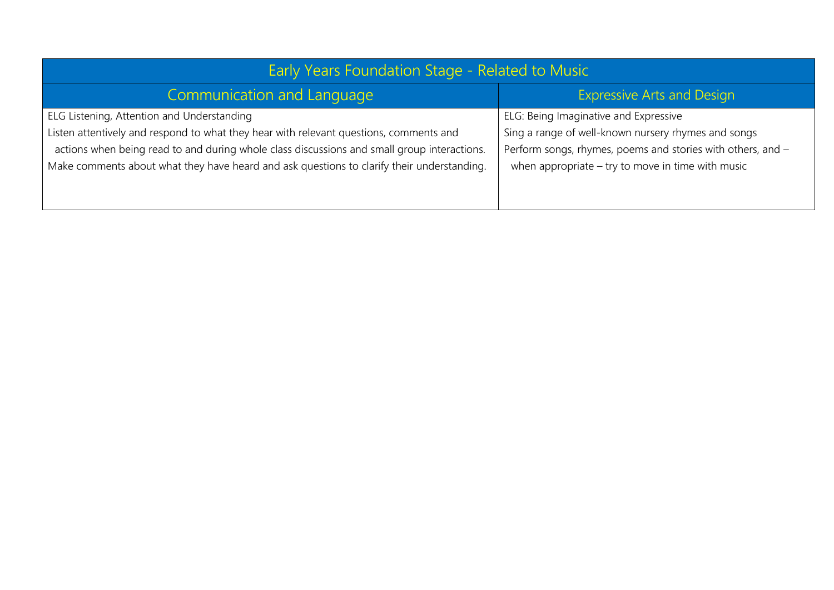| <b>Early Years Foundation Stage - Related to Music</b>                                                                                                                                                                                                                                                                            |                                                                                                                                                                                                                    |  |  |  |
|-----------------------------------------------------------------------------------------------------------------------------------------------------------------------------------------------------------------------------------------------------------------------------------------------------------------------------------|--------------------------------------------------------------------------------------------------------------------------------------------------------------------------------------------------------------------|--|--|--|
| Communication and Language                                                                                                                                                                                                                                                                                                        | <b>Expressive Arts and Design</b>                                                                                                                                                                                  |  |  |  |
| ELG Listening, Attention and Understanding<br>Listen attentively and respond to what they hear with relevant questions, comments and<br>actions when being read to and during whole class discussions and small group interactions.<br>Make comments about what they have heard and ask questions to clarify their understanding. | ELG: Being Imaginative and Expressive<br>Sing a range of well-known nursery rhymes and songs<br>Perform songs, rhymes, poems and stories with others, and -<br>when appropriate $-$ try to move in time with music |  |  |  |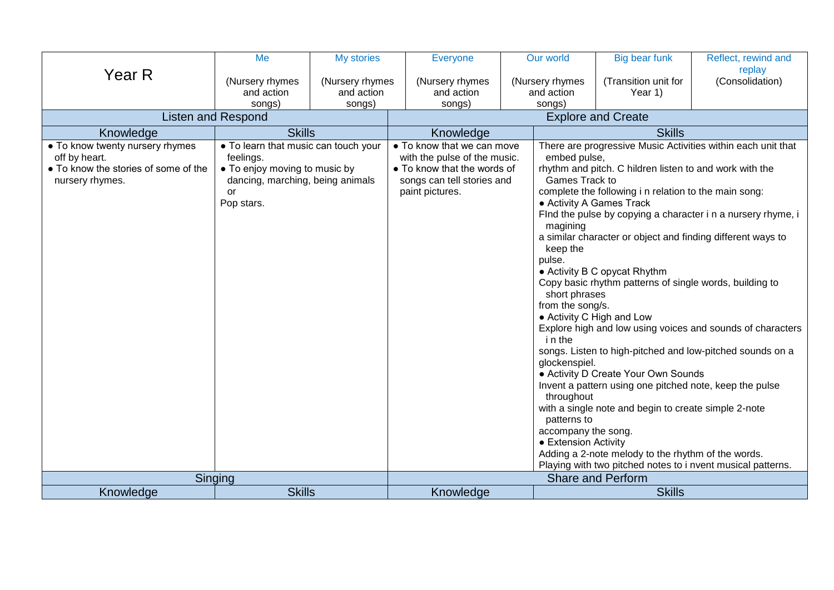|                                                                                                             | Me                                                                                                                                                | My stories                              | <b>Everyone</b>                                                                                                                            | Our world                                                                                                                                                                                                                                 | Big bear funk                                                                                                                                                                                                                                                                                                                                                                                                                                            | Reflect, rewind and                                                                                                                                                                                                                                                                                                                                                                   |
|-------------------------------------------------------------------------------------------------------------|---------------------------------------------------------------------------------------------------------------------------------------------------|-----------------------------------------|--------------------------------------------------------------------------------------------------------------------------------------------|-------------------------------------------------------------------------------------------------------------------------------------------------------------------------------------------------------------------------------------------|----------------------------------------------------------------------------------------------------------------------------------------------------------------------------------------------------------------------------------------------------------------------------------------------------------------------------------------------------------------------------------------------------------------------------------------------------------|---------------------------------------------------------------------------------------------------------------------------------------------------------------------------------------------------------------------------------------------------------------------------------------------------------------------------------------------------------------------------------------|
| Year R                                                                                                      | (Nursery rhymes<br>and action<br>songs)                                                                                                           | (Nursery rhymes<br>and action<br>songs) | (Nursery rhymes<br>and action<br>songs)                                                                                                    | (Nursery rhymes<br>and action<br>songs)                                                                                                                                                                                                   | (Transition unit for<br>Year 1)                                                                                                                                                                                                                                                                                                                                                                                                                          | replay<br>(Consolidation)                                                                                                                                                                                                                                                                                                                                                             |
| <b>Listen and Respond</b>                                                                                   |                                                                                                                                                   |                                         |                                                                                                                                            | <b>Explore and Create</b>                                                                                                                                                                                                                 |                                                                                                                                                                                                                                                                                                                                                                                                                                                          |                                                                                                                                                                                                                                                                                                                                                                                       |
| Knowledge                                                                                                   | <b>Skills</b>                                                                                                                                     |                                         | Knowledge                                                                                                                                  |                                                                                                                                                                                                                                           | <b>Skills</b>                                                                                                                                                                                                                                                                                                                                                                                                                                            |                                                                                                                                                                                                                                                                                                                                                                                       |
| • To know twenty nursery rhymes<br>off by heart.<br>• To know the stories of some of the<br>nursery rhymes. | • To learn that music can touch your<br>feelings.<br>• To enjoy moving to music by<br>dancing, marching, being animals<br><b>or</b><br>Pop stars. |                                         | • To know that we can move<br>with the pulse of the music.<br>• To know that the words of<br>songs can tell stories and<br>paint pictures. | embed pulse,<br>Games Track to<br>• Activity A Games Track<br>magining<br>keep the<br>pulse.<br>short phrases<br>from the song/s.<br>i n the<br>glockenspiel.<br>throughout<br>patterns to<br>accompany the song.<br>• Extension Activity | rhythm and pitch. C hildren listen to and work with the<br>complete the following i n relation to the main song:<br>• Activity B C opycat Rhythm<br>Copy basic rhythm patterns of single words, building to<br>• Activity C High and Low<br>• Activity D Create Your Own Sounds<br>Invent a pattern using one pitched note, keep the pulse<br>with a single note and begin to create simple 2-note<br>Adding a 2-note melody to the rhythm of the words. | There are progressive Music Activities within each unit that<br>Find the pulse by copying a character i n a nursery rhyme, i<br>a similar character or object and finding different ways to<br>Explore high and low using voices and sounds of characters<br>songs. Listen to high-pitched and low-pitched sounds on a<br>Playing with two pitched notes to i nvent musical patterns. |
|                                                                                                             | Singing                                                                                                                                           |                                         |                                                                                                                                            |                                                                                                                                                                                                                                           | <b>Share and Perform</b>                                                                                                                                                                                                                                                                                                                                                                                                                                 |                                                                                                                                                                                                                                                                                                                                                                                       |
| Knowledge                                                                                                   | <b>Skills</b>                                                                                                                                     |                                         | Knowledge                                                                                                                                  |                                                                                                                                                                                                                                           | <b>Skills</b>                                                                                                                                                                                                                                                                                                                                                                                                                                            |                                                                                                                                                                                                                                                                                                                                                                                       |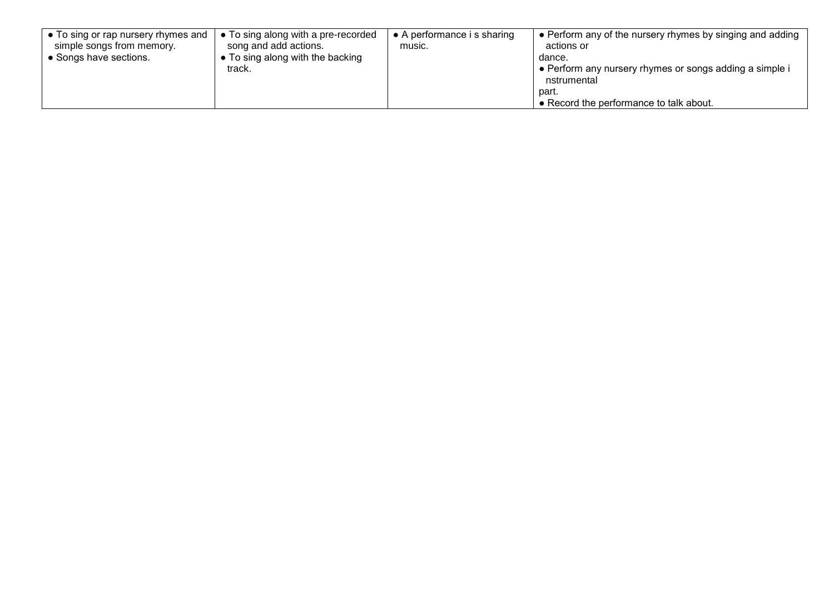| $\bullet$ To sing or rap nursery rhymes and | • To sing along with a pre-recorded | $\bullet$ A performance i s sharing | • Perform any of the nursery rhymes by singing and adding |
|---------------------------------------------|-------------------------------------|-------------------------------------|-----------------------------------------------------------|
| simple songs from memory.                   | song and add actions.               | music.                              | actions or                                                |
| • Songs have sections.                      | • To sing along with the backing    |                                     | dance.                                                    |
|                                             | track.                              |                                     | • Perform any nursery rhymes or songs adding a simple i   |
|                                             |                                     |                                     | nstrumental                                               |
|                                             |                                     |                                     | part.                                                     |
|                                             |                                     |                                     | • Record the performance to talk about.                   |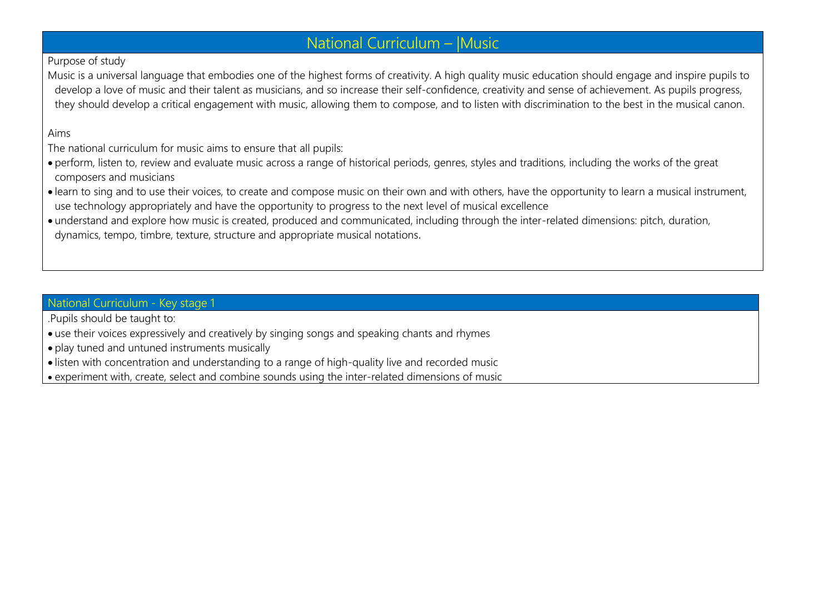# National Curriculum – |Music

## Purpose of study

Music is a universal language that embodies one of the highest forms of creativity. A high quality music education should engage and inspire pupils to develop a love of music and their talent as musicians, and so increase their self-confidence, creativity and sense of achievement. As pupils progress, they should develop a critical engagement with music, allowing them to compose, and to listen with discrimination to the best in the musical canon.

#### Aims

The national curriculum for music aims to ensure that all pupils:

- perform, listen to, review and evaluate music across a range of historical periods, genres, styles and traditions, including the works of the great composers and musicians
- learn to sing and to use their voices, to create and compose music on their own and with others, have the opportunity to learn a musical instrument, use technology appropriately and have the opportunity to progress to the next level of musical excellence
- understand and explore how music is created, produced and communicated, including through the inter-related dimensions: pitch, duration, dynamics, tempo, timbre, texture, structure and appropriate musical notations.

## National Curriculum - Key stage 1

- .Pupils should be taught to:
- use their voices expressively and creatively by singing songs and speaking chants and rhymes
- play tuned and untuned instruments musically
- listen with concentration and understanding to a range of high-quality live and recorded music
- experiment with, create, select and combine sounds using the inter-related dimensions of music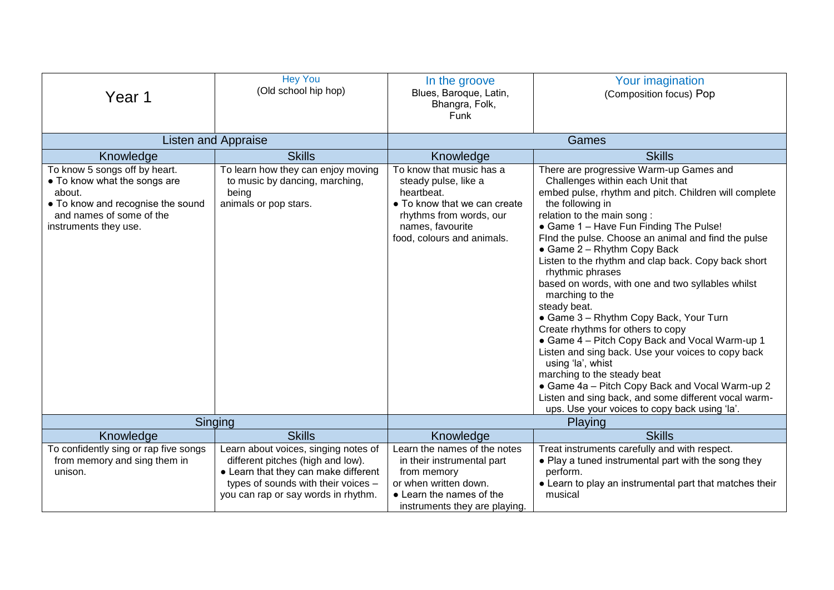| Year 1                                                                                                                                                            | <b>Hey You</b><br>(Old school hip hop)                                                                                                                                                          | In the groove<br>Blues, Baroque, Latin,<br>Bhangra, Folk,<br>Funk                                                                                                           | Your imagination<br>(Composition focus) Pop                                                                                                                                                                                                                                                                                                                                                                                                                                                                                                                                                                                                                                                                                                                                                                                                                                                      |
|-------------------------------------------------------------------------------------------------------------------------------------------------------------------|-------------------------------------------------------------------------------------------------------------------------------------------------------------------------------------------------|-----------------------------------------------------------------------------------------------------------------------------------------------------------------------------|--------------------------------------------------------------------------------------------------------------------------------------------------------------------------------------------------------------------------------------------------------------------------------------------------------------------------------------------------------------------------------------------------------------------------------------------------------------------------------------------------------------------------------------------------------------------------------------------------------------------------------------------------------------------------------------------------------------------------------------------------------------------------------------------------------------------------------------------------------------------------------------------------|
|                                                                                                                                                                   | <b>Listen and Appraise</b>                                                                                                                                                                      |                                                                                                                                                                             | Games                                                                                                                                                                                                                                                                                                                                                                                                                                                                                                                                                                                                                                                                                                                                                                                                                                                                                            |
| Knowledge                                                                                                                                                         | <b>Skills</b>                                                                                                                                                                                   | Knowledge                                                                                                                                                                   | <b>Skills</b>                                                                                                                                                                                                                                                                                                                                                                                                                                                                                                                                                                                                                                                                                                                                                                                                                                                                                    |
| To know 5 songs off by heart.<br>• To know what the songs are<br>about.<br>• To know and recognise the sound<br>and names of some of the<br>instruments they use. | To learn how they can enjoy moving<br>to music by dancing, marching,<br>being<br>animals or pop stars.                                                                                          | To know that music has a<br>steady pulse, like a<br>heartbeat.<br>• To know that we can create<br>rhythms from words, our<br>names, favourite<br>food, colours and animals. | There are progressive Warm-up Games and<br>Challenges within each Unit that<br>embed pulse, rhythm and pitch. Children will complete<br>the following in<br>relation to the main song:<br>• Game 1 - Have Fun Finding The Pulse!<br>Find the pulse. Choose an animal and find the pulse<br>• Game 2 - Rhythm Copy Back<br>Listen to the rhythm and clap back. Copy back short<br>rhythmic phrases<br>based on words, with one and two syllables whilst<br>marching to the<br>steady beat.<br>• Game 3 - Rhythm Copy Back, Your Turn<br>Create rhythms for others to copy<br>• Game 4 - Pitch Copy Back and Vocal Warm-up 1<br>Listen and sing back. Use your voices to copy back<br>using 'la', whist<br>marching to the steady beat<br>• Game 4a - Pitch Copy Back and Vocal Warm-up 2<br>Listen and sing back, and some different vocal warm-<br>ups. Use your voices to copy back using 'la'. |
| Singing                                                                                                                                                           |                                                                                                                                                                                                 |                                                                                                                                                                             | Playing                                                                                                                                                                                                                                                                                                                                                                                                                                                                                                                                                                                                                                                                                                                                                                                                                                                                                          |
| Knowledge                                                                                                                                                         | <b>Skills</b>                                                                                                                                                                                   | Knowledge                                                                                                                                                                   | <b>Skills</b>                                                                                                                                                                                                                                                                                                                                                                                                                                                                                                                                                                                                                                                                                                                                                                                                                                                                                    |
| To confidently sing or rap five songs<br>from memory and sing them in<br>unison.                                                                                  | Learn about voices, singing notes of<br>different pitches (high and low).<br>• Learn that they can make different<br>types of sounds with their voices -<br>you can rap or say words in rhythm. | Learn the names of the notes<br>in their instrumental part<br>from memory<br>or when written down.<br>• Learn the names of the<br>instruments they are playing.             | Treat instruments carefully and with respect.<br>• Play a tuned instrumental part with the song they<br>perform.<br>• Learn to play an instrumental part that matches their<br>musical                                                                                                                                                                                                                                                                                                                                                                                                                                                                                                                                                                                                                                                                                                           |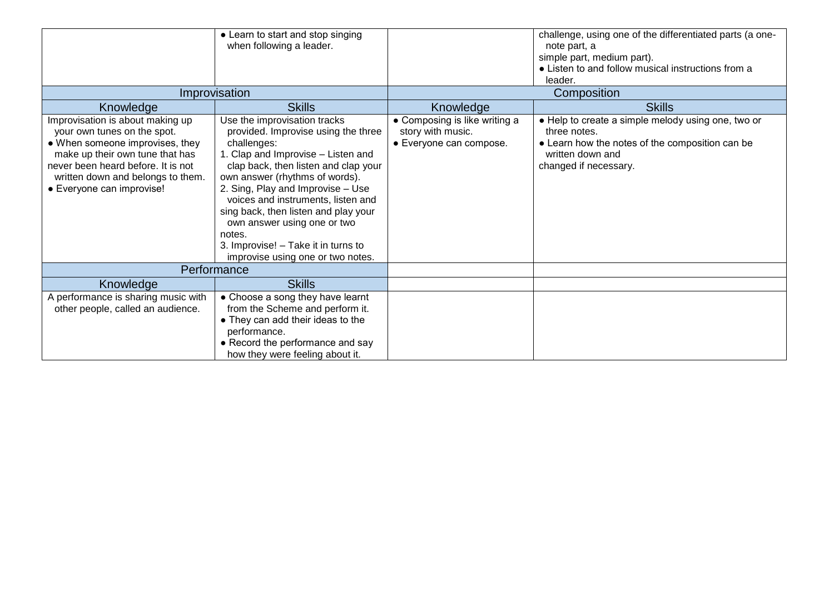|                                                                                                                                                                                                                                               | • Learn to start and stop singing<br>when following a leader.                                                                                                                                                                                                                                                                                                                                                                              |                                                                               | challenge, using one of the differentiated parts (a one-<br>note part, a<br>simple part, medium part).<br>• Listen to and follow musical instructions from a<br>leader. |
|-----------------------------------------------------------------------------------------------------------------------------------------------------------------------------------------------------------------------------------------------|--------------------------------------------------------------------------------------------------------------------------------------------------------------------------------------------------------------------------------------------------------------------------------------------------------------------------------------------------------------------------------------------------------------------------------------------|-------------------------------------------------------------------------------|-------------------------------------------------------------------------------------------------------------------------------------------------------------------------|
|                                                                                                                                                                                                                                               | Improvisation                                                                                                                                                                                                                                                                                                                                                                                                                              |                                                                               | Composition                                                                                                                                                             |
| Knowledge                                                                                                                                                                                                                                     | <b>Skills</b>                                                                                                                                                                                                                                                                                                                                                                                                                              | Knowledge                                                                     | <b>Skills</b>                                                                                                                                                           |
| Improvisation is about making up<br>your own tunes on the spot.<br>• When someone improvises, they<br>make up their own tune that has<br>never been heard before. It is not<br>written down and belongs to them.<br>• Everyone can improvise! | Use the improvisation tracks<br>provided. Improvise using the three<br>challenges:<br>1. Clap and Improvise - Listen and<br>clap back, then listen and clap your<br>own answer (rhythms of words).<br>2. Sing, Play and Improvise - Use<br>voices and instruments, listen and<br>sing back, then listen and play your<br>own answer using one or two<br>notes.<br>3. Improvise! - Take it in turns to<br>improvise using one or two notes. | • Composing is like writing a<br>story with music.<br>• Everyone can compose. | • Help to create a simple melody using one, two or<br>three notes.<br>• Learn how the notes of the composition can be<br>written down and<br>changed if necessary.      |
|                                                                                                                                                                                                                                               | Performance                                                                                                                                                                                                                                                                                                                                                                                                                                |                                                                               |                                                                                                                                                                         |
| Knowledge                                                                                                                                                                                                                                     | <b>Skills</b>                                                                                                                                                                                                                                                                                                                                                                                                                              |                                                                               |                                                                                                                                                                         |
| A performance is sharing music with<br>other people, called an audience.                                                                                                                                                                      | • Choose a song they have learnt<br>from the Scheme and perform it.<br>• They can add their ideas to the<br>performance.<br>• Record the performance and say<br>how they were feeling about it.                                                                                                                                                                                                                                            |                                                                               |                                                                                                                                                                         |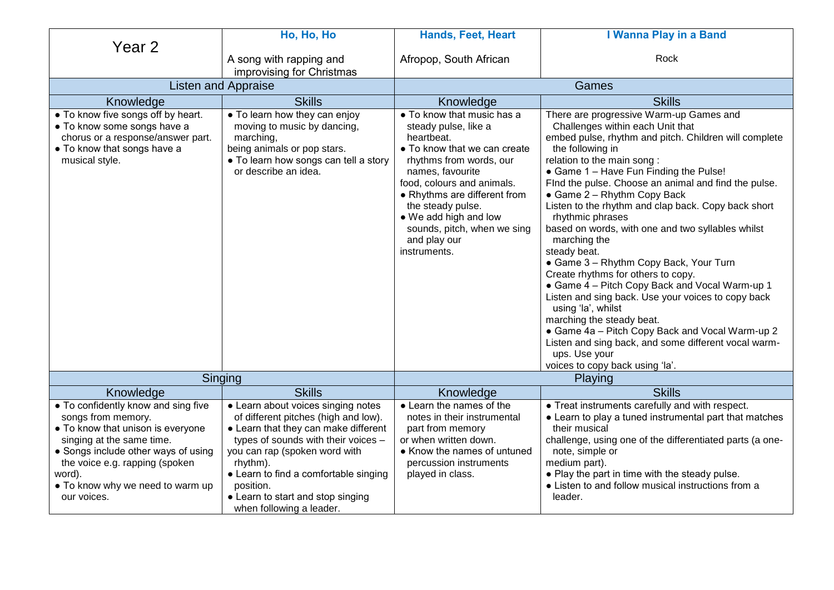|                                                                                                                                                                                                                                                                   | Ho, Ho, Ho                                                                                                                                                                                                                                                                                                                    | Hands, Feet, Heart                                                                                                                                                                                                                                                                                                                 | I Wanna Play in a Band                                                                                                                                                                                                                                                                                                                                                                                                                                                                                                                                                                                                                                                                                                                                                                                                                                                                             |
|-------------------------------------------------------------------------------------------------------------------------------------------------------------------------------------------------------------------------------------------------------------------|-------------------------------------------------------------------------------------------------------------------------------------------------------------------------------------------------------------------------------------------------------------------------------------------------------------------------------|------------------------------------------------------------------------------------------------------------------------------------------------------------------------------------------------------------------------------------------------------------------------------------------------------------------------------------|----------------------------------------------------------------------------------------------------------------------------------------------------------------------------------------------------------------------------------------------------------------------------------------------------------------------------------------------------------------------------------------------------------------------------------------------------------------------------------------------------------------------------------------------------------------------------------------------------------------------------------------------------------------------------------------------------------------------------------------------------------------------------------------------------------------------------------------------------------------------------------------------------|
| Year <sub>2</sub>                                                                                                                                                                                                                                                 | A song with rapping and                                                                                                                                                                                                                                                                                                       | Afropop, South African                                                                                                                                                                                                                                                                                                             | Rock                                                                                                                                                                                                                                                                                                                                                                                                                                                                                                                                                                                                                                                                                                                                                                                                                                                                                               |
|                                                                                                                                                                                                                                                                   | improvising for Christmas                                                                                                                                                                                                                                                                                                     |                                                                                                                                                                                                                                                                                                                                    |                                                                                                                                                                                                                                                                                                                                                                                                                                                                                                                                                                                                                                                                                                                                                                                                                                                                                                    |
| <b>Listen and Appraise</b>                                                                                                                                                                                                                                        |                                                                                                                                                                                                                                                                                                                               |                                                                                                                                                                                                                                                                                                                                    | Games                                                                                                                                                                                                                                                                                                                                                                                                                                                                                                                                                                                                                                                                                                                                                                                                                                                                                              |
| Knowledge                                                                                                                                                                                                                                                         | <b>Skills</b>                                                                                                                                                                                                                                                                                                                 | Knowledge                                                                                                                                                                                                                                                                                                                          | <b>Skills</b>                                                                                                                                                                                                                                                                                                                                                                                                                                                                                                                                                                                                                                                                                                                                                                                                                                                                                      |
| • To know five songs off by heart.<br>• To know some songs have a<br>chorus or a response/answer part.<br>• To know that songs have a<br>musical style.                                                                                                           | • To learn how they can enjoy<br>moving to music by dancing,<br>marching,<br>being animals or pop stars.<br>• To learn how songs can tell a story<br>or describe an idea.                                                                                                                                                     | • To know that music has a<br>steady pulse, like a<br>heartbeat.<br>$\bullet$ To know that we can create<br>rhythms from words, our<br>names, favourite<br>food, colours and animals.<br>• Rhythms are different from<br>the steady pulse.<br>• We add high and low<br>sounds, pitch, when we sing<br>and play our<br>instruments. | There are progressive Warm-up Games and<br>Challenges within each Unit that<br>embed pulse, rhythm and pitch. Children will complete<br>the following in<br>relation to the main song :<br>• Game 1 - Have Fun Finding the Pulse!<br>FInd the pulse. Choose an animal and find the pulse.<br>• Game 2 - Rhythm Copy Back<br>Listen to the rhythm and clap back. Copy back short<br>rhythmic phrases<br>based on words, with one and two syllables whilst<br>marching the<br>steady beat.<br>• Game 3 - Rhythm Copy Back, Your Turn<br>Create rhythms for others to copy.<br>• Game 4 - Pitch Copy Back and Vocal Warm-up 1<br>Listen and sing back. Use your voices to copy back<br>using 'la', whilst<br>marching the steady beat.<br>• Game 4a - Pitch Copy Back and Vocal Warm-up 2<br>Listen and sing back, and some different vocal warm-<br>ups. Use your<br>voices to copy back using 'la'. |
|                                                                                                                                                                                                                                                                   | Singing                                                                                                                                                                                                                                                                                                                       |                                                                                                                                                                                                                                                                                                                                    | <b>Playing</b>                                                                                                                                                                                                                                                                                                                                                                                                                                                                                                                                                                                                                                                                                                                                                                                                                                                                                     |
| Knowledge                                                                                                                                                                                                                                                         | <b>Skills</b>                                                                                                                                                                                                                                                                                                                 | Knowledge                                                                                                                                                                                                                                                                                                                          | <b>Skills</b>                                                                                                                                                                                                                                                                                                                                                                                                                                                                                                                                                                                                                                                                                                                                                                                                                                                                                      |
| • To confidently know and sing five<br>songs from memory.<br>• To know that unison is everyone<br>singing at the same time.<br>• Songs include other ways of using<br>the voice e.g. rapping (spoken<br>word).<br>• To know why we need to warm up<br>our voices. | • Learn about voices singing notes<br>of different pitches (high and low).<br>• Learn that they can make different<br>types of sounds with their voices -<br>you can rap (spoken word with<br>rhythm).<br>• Learn to find a comfortable singing<br>position.<br>• Learn to start and stop singing<br>when following a leader. | • Learn the names of the<br>notes in their instrumental<br>part from memory<br>or when written down.<br>• Know the names of untuned<br>percussion instruments<br>played in class.                                                                                                                                                  | • Treat instruments carefully and with respect.<br>• Learn to play a tuned instrumental part that matches<br>their musical<br>challenge, using one of the differentiated parts (a one-<br>note, simple or<br>medium part).<br>• Play the part in time with the steady pulse.<br>• Listen to and follow musical instructions from a<br>leader.                                                                                                                                                                                                                                                                                                                                                                                                                                                                                                                                                      |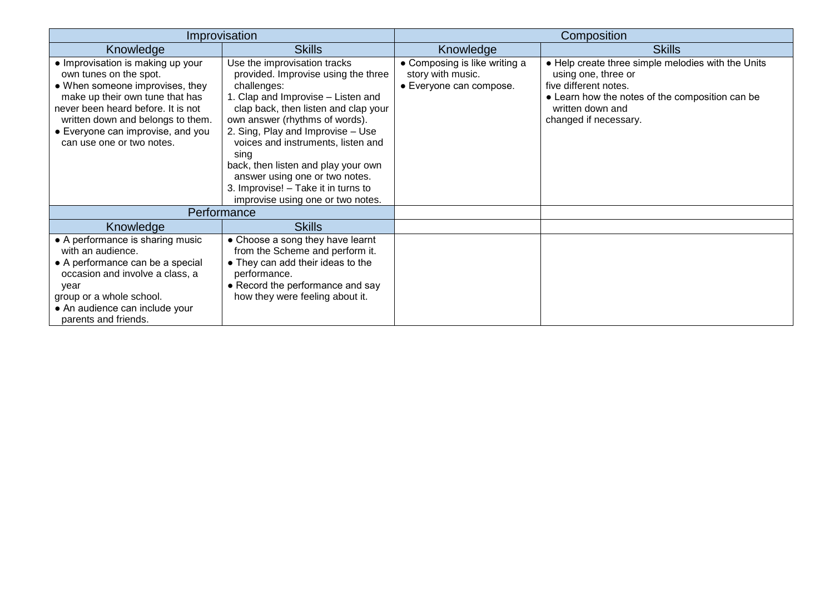|                                                                                                                                                                                                                                                                                | Improvisation                                                                                                                                                                                                                                                                                                                                                                                                                              |                                                                               | Composition                                                                                                                                                                                        |
|--------------------------------------------------------------------------------------------------------------------------------------------------------------------------------------------------------------------------------------------------------------------------------|--------------------------------------------------------------------------------------------------------------------------------------------------------------------------------------------------------------------------------------------------------------------------------------------------------------------------------------------------------------------------------------------------------------------------------------------|-------------------------------------------------------------------------------|----------------------------------------------------------------------------------------------------------------------------------------------------------------------------------------------------|
| Knowledge                                                                                                                                                                                                                                                                      | <b>Skills</b>                                                                                                                                                                                                                                                                                                                                                                                                                              | Knowledge                                                                     | <b>Skills</b>                                                                                                                                                                                      |
| • Improvisation is making up your<br>own tunes on the spot.<br>• When someone improvises, they<br>make up their own tune that has<br>never been heard before. It is not<br>written down and belongs to them.<br>• Everyone can improvise, and you<br>can use one or two notes. | Use the improvisation tracks<br>provided. Improvise using the three<br>challenges:<br>1. Clap and Improvise - Listen and<br>clap back, then listen and clap your<br>own answer (rhythms of words).<br>2. Sing, Play and Improvise - Use<br>voices and instruments, listen and<br>sing<br>back, then listen and play your own<br>answer using one or two notes.<br>3. Improvise! - Take it in turns to<br>improvise using one or two notes. | • Composing is like writing a<br>story with music.<br>• Everyone can compose. | • Help create three simple melodies with the Units<br>using one, three or<br>five different notes.<br>• Learn how the notes of the composition can be<br>written down and<br>changed if necessary. |
|                                                                                                                                                                                                                                                                                | Performance                                                                                                                                                                                                                                                                                                                                                                                                                                |                                                                               |                                                                                                                                                                                                    |
| Knowledge                                                                                                                                                                                                                                                                      | <b>Skills</b>                                                                                                                                                                                                                                                                                                                                                                                                                              |                                                                               |                                                                                                                                                                                                    |
| • A performance is sharing music<br>with an audience.<br>• A performance can be a special<br>occasion and involve a class, a<br>year<br>group or a whole school.<br>• An audience can include your<br>parents and friends.                                                     | • Choose a song they have learnt<br>from the Scheme and perform it.<br>• They can add their ideas to the<br>performance.<br>• Record the performance and say<br>how they were feeling about it.                                                                                                                                                                                                                                            |                                                                               |                                                                                                                                                                                                    |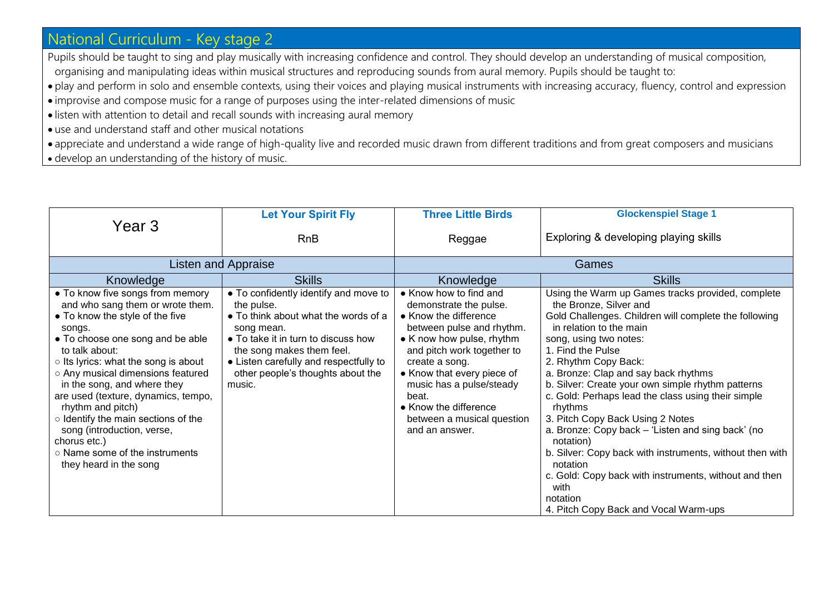# National Curriculum - Key stage 2

Pupils should be taught to sing and play musically with increasing confidence and control. They should develop an understanding of musical composition, organising and manipulating ideas within musical structures and reproducing sounds from aural memory. Pupils should be taught to:

- play and perform in solo and ensemble contexts, using their voices and playing musical instruments with increasing accuracy, fluency, control and expression
- improvise and compose music for a range of purposes using the inter-related dimensions of music
- listen with attention to detail and recall sounds with increasing aural memory
- use and understand staff and other musical notations
- appreciate and understand a wide range of high-quality live and recorded music drawn from different traditions and from great composers and musicians
- develop an understanding of the history of music.

|                                                                                                                                                                                                                                                                                                                                                                                                                                                                                                  | <b>Let Your Spirit Fly</b>                                                                                                                                                                                                                                             | <b>Three Little Birds</b>                                                                                                                                                                                                                                                                                                       | <b>Glockenspiel Stage 1</b>                                                                                                                                                                                                                                                                                                                                                                                                                                                                                                                                                                                                                                                                              |
|--------------------------------------------------------------------------------------------------------------------------------------------------------------------------------------------------------------------------------------------------------------------------------------------------------------------------------------------------------------------------------------------------------------------------------------------------------------------------------------------------|------------------------------------------------------------------------------------------------------------------------------------------------------------------------------------------------------------------------------------------------------------------------|---------------------------------------------------------------------------------------------------------------------------------------------------------------------------------------------------------------------------------------------------------------------------------------------------------------------------------|----------------------------------------------------------------------------------------------------------------------------------------------------------------------------------------------------------------------------------------------------------------------------------------------------------------------------------------------------------------------------------------------------------------------------------------------------------------------------------------------------------------------------------------------------------------------------------------------------------------------------------------------------------------------------------------------------------|
| Year <sub>3</sub>                                                                                                                                                                                                                                                                                                                                                                                                                                                                                | <b>RnB</b>                                                                                                                                                                                                                                                             | Reggae                                                                                                                                                                                                                                                                                                                          | Exploring & developing playing skills                                                                                                                                                                                                                                                                                                                                                                                                                                                                                                                                                                                                                                                                    |
|                                                                                                                                                                                                                                                                                                                                                                                                                                                                                                  | <b>Listen and Appraise</b>                                                                                                                                                                                                                                             |                                                                                                                                                                                                                                                                                                                                 | <b>Games</b>                                                                                                                                                                                                                                                                                                                                                                                                                                                                                                                                                                                                                                                                                             |
| Knowledge                                                                                                                                                                                                                                                                                                                                                                                                                                                                                        | <b>Skills</b>                                                                                                                                                                                                                                                          | Knowledge                                                                                                                                                                                                                                                                                                                       | <b>Skills</b>                                                                                                                                                                                                                                                                                                                                                                                                                                                                                                                                                                                                                                                                                            |
| • To know five songs from memory<br>and who sang them or wrote them.<br>• To know the style of the five<br>songs.<br>• To choose one song and be able<br>to talk about:<br>o Its lyrics: what the song is about<br>○ Any musical dimensions featured<br>in the song, and where they<br>are used (texture, dynamics, tempo,<br>rhythm and pitch)<br>o Identify the main sections of the<br>song (introduction, verse,<br>chorus etc.)<br>o Name some of the instruments<br>they heard in the song | • To confidently identify and move to<br>the pulse.<br>• To think about what the words of a<br>song mean.<br>• To take it in turn to discuss how<br>the song makes them feel.<br>• Listen carefully and respectfully to<br>other people's thoughts about the<br>music. | • Know how to find and<br>demonstrate the pulse.<br>• Know the difference<br>between pulse and rhythm.<br>• K now how pulse, rhythm<br>and pitch work together to<br>create a song.<br>• Know that every piece of<br>music has a pulse/steady<br>beat.<br>• Know the difference<br>between a musical question<br>and an answer. | Using the Warm up Games tracks provided, complete<br>the Bronze, Silver and<br>Gold Challenges. Children will complete the following<br>in relation to the main<br>song, using two notes:<br>1. Find the Pulse<br>2. Rhythm Copy Back:<br>a. Bronze: Clap and say back rhythms<br>b. Silver: Create your own simple rhythm patterns<br>c. Gold: Perhaps lead the class using their simple<br>rhythms<br>3. Pitch Copy Back Using 2 Notes<br>a. Bronze: Copy back – 'Listen and sing back' (no<br>notation)<br>b. Silver: Copy back with instruments, without then with<br>notation<br>c. Gold: Copy back with instruments, without and then<br>with<br>notation<br>4. Pitch Copy Back and Vocal Warm-ups |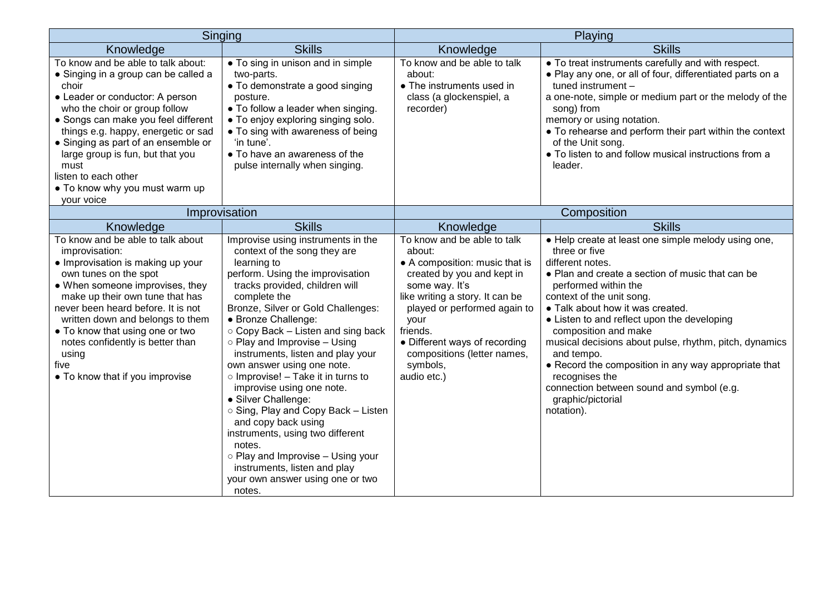| Singing                                                                                                                                                                                                                                                                                                                                                                                          |                                                                                                                                                                                                                                                                                                                                                                                                                                                                                                                                                                                                                                                                                                              |                                                                                                                                                                                                                                                                                                           | Playing                                                                                                                                                                                                                                                                                                                                                                                                                                                                                                                                        |
|--------------------------------------------------------------------------------------------------------------------------------------------------------------------------------------------------------------------------------------------------------------------------------------------------------------------------------------------------------------------------------------------------|--------------------------------------------------------------------------------------------------------------------------------------------------------------------------------------------------------------------------------------------------------------------------------------------------------------------------------------------------------------------------------------------------------------------------------------------------------------------------------------------------------------------------------------------------------------------------------------------------------------------------------------------------------------------------------------------------------------|-----------------------------------------------------------------------------------------------------------------------------------------------------------------------------------------------------------------------------------------------------------------------------------------------------------|------------------------------------------------------------------------------------------------------------------------------------------------------------------------------------------------------------------------------------------------------------------------------------------------------------------------------------------------------------------------------------------------------------------------------------------------------------------------------------------------------------------------------------------------|
| Knowledge                                                                                                                                                                                                                                                                                                                                                                                        | <b>Skills</b>                                                                                                                                                                                                                                                                                                                                                                                                                                                                                                                                                                                                                                                                                                | Knowledge                                                                                                                                                                                                                                                                                                 | <b>Skills</b>                                                                                                                                                                                                                                                                                                                                                                                                                                                                                                                                  |
| To know and be able to talk about:<br>• Singing in a group can be called a<br>choir<br>• Leader or conductor: A person<br>who the choir or group follow<br>• Songs can make you feel different<br>things e.g. happy, energetic or sad<br>• Singing as part of an ensemble or<br>large group is fun, but that you<br>must<br>listen to each other<br>• To know why you must warm up<br>your voice | • To sing in unison and in simple<br>two-parts.<br>• To demonstrate a good singing<br>posture.<br>• To follow a leader when singing.<br>• To enjoy exploring singing solo.<br>• To sing with awareness of being<br>'in tune'.<br>• To have an awareness of the<br>pulse internally when singing.                                                                                                                                                                                                                                                                                                                                                                                                             | To know and be able to talk<br>about:<br>• The instruments used in<br>class (a glockenspiel, a<br>recorder)                                                                                                                                                                                               | • To treat instruments carefully and with respect.<br>. Play any one, or all of four, differentiated parts on a<br>tuned instrument -<br>a one-note, simple or medium part or the melody of the<br>song) from<br>memory or using notation.<br>• To rehearse and perform their part within the context<br>of the Unit song.<br>• To listen to and follow musical instructions from a<br>leader.                                                                                                                                                 |
|                                                                                                                                                                                                                                                                                                                                                                                                  | Improvisation                                                                                                                                                                                                                                                                                                                                                                                                                                                                                                                                                                                                                                                                                                |                                                                                                                                                                                                                                                                                                           | Composition                                                                                                                                                                                                                                                                                                                                                                                                                                                                                                                                    |
| Knowledge                                                                                                                                                                                                                                                                                                                                                                                        | <b>Skills</b>                                                                                                                                                                                                                                                                                                                                                                                                                                                                                                                                                                                                                                                                                                | Knowledge                                                                                                                                                                                                                                                                                                 | <b>Skills</b>                                                                                                                                                                                                                                                                                                                                                                                                                                                                                                                                  |
| To know and be able to talk about<br>improvisation:<br>• Improvisation is making up your<br>own tunes on the spot<br>• When someone improvises, they<br>make up their own tune that has<br>never been heard before. It is not<br>written down and belongs to them<br>• To know that using one or two<br>notes confidently is better than<br>using<br>five<br>• To know that if you improvise     | Improvise using instruments in the<br>context of the song they are<br>learning to<br>perform. Using the improvisation<br>tracks provided, children will<br>complete the<br>Bronze, Silver or Gold Challenges:<br>• Bronze Challenge:<br>○ Copy Back – Listen and sing back<br>o Play and Improvise - Using<br>instruments, listen and play your<br>own answer using one note.<br>$\circ$ Improvise! – Take it in turns to<br>improvise using one note.<br>• Silver Challenge:<br>○ Sing, Play and Copy Back - Listen<br>and copy back using<br>instruments, using two different<br>notes.<br>o Play and Improvise - Using your<br>instruments, listen and play<br>your own answer using one or two<br>notes. | To know and be able to talk<br>about:<br>• A composition: music that is<br>created by you and kept in<br>some way. It's<br>like writing a story. It can be<br>played or performed again to<br>your<br>friends.<br>• Different ways of recording<br>compositions (letter names,<br>symbols,<br>audio etc.) | • Help create at least one simple melody using one,<br>three or five<br>different notes.<br>• Plan and create a section of music that can be<br>performed within the<br>context of the unit song.<br>• Talk about how it was created.<br>• Listen to and reflect upon the developing<br>composition and make<br>musical decisions about pulse, rhythm, pitch, dynamics<br>and tempo.<br>• Record the composition in any way appropriate that<br>recognises the<br>connection between sound and symbol (e.g.<br>graphic/pictorial<br>notation). |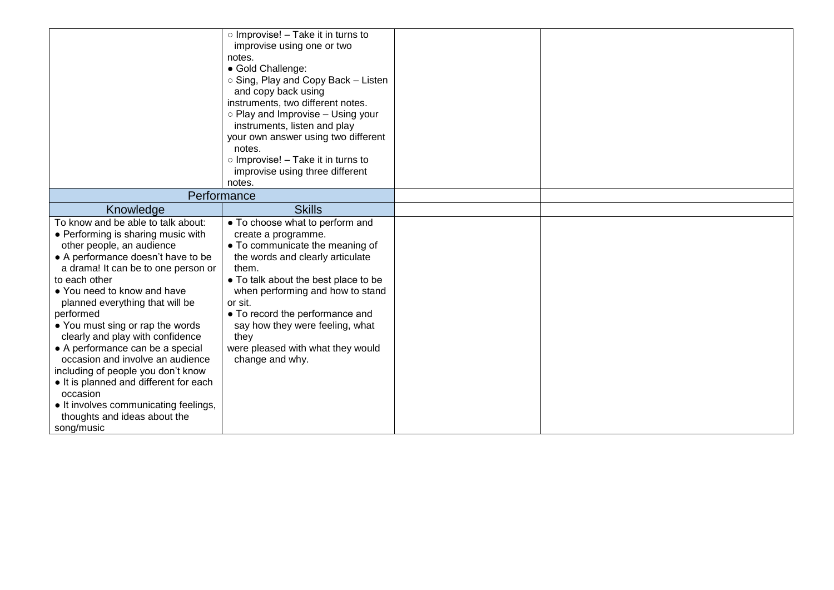|                                                                          | $\circ$ Improvise! – Take it in turns to<br>improvise using one or two<br>notes.<br>• Gold Challenge:<br>○ Sing, Play and Copy Back – Listen<br>and copy back using<br>instruments, two different notes.<br>$\circ$ Play and Improvise – Using your |  |
|--------------------------------------------------------------------------|-----------------------------------------------------------------------------------------------------------------------------------------------------------------------------------------------------------------------------------------------------|--|
|                                                                          | instruments, listen and play                                                                                                                                                                                                                        |  |
|                                                                          | your own answer using two different                                                                                                                                                                                                                 |  |
|                                                                          | notes.                                                                                                                                                                                                                                              |  |
|                                                                          | o Improvise! - Take it in turns to                                                                                                                                                                                                                  |  |
|                                                                          | improvise using three different<br>notes.                                                                                                                                                                                                           |  |
| Performance                                                              |                                                                                                                                                                                                                                                     |  |
|                                                                          | <b>Skills</b>                                                                                                                                                                                                                                       |  |
| Knowledge                                                                |                                                                                                                                                                                                                                                     |  |
| To know and be able to talk about:<br>• Performing is sharing music with | • To choose what to perform and                                                                                                                                                                                                                     |  |
| other people, an audience                                                | create a programme.<br>• To communicate the meaning of                                                                                                                                                                                              |  |
| • A performance doesn't have to be                                       | the words and clearly articulate                                                                                                                                                                                                                    |  |
| a drama! It can be to one person or                                      | them.                                                                                                                                                                                                                                               |  |
| to each other                                                            | • To talk about the best place to be                                                                                                                                                                                                                |  |
| • You need to know and have                                              | when performing and how to stand                                                                                                                                                                                                                    |  |
| planned everything that will be                                          | or sit.                                                                                                                                                                                                                                             |  |
| performed                                                                | • To record the performance and                                                                                                                                                                                                                     |  |
| • You must sing or rap the words<br>clearly and play with confidence     | say how they were feeling, what<br>they                                                                                                                                                                                                             |  |
| • A performance can be a special                                         | were pleased with what they would                                                                                                                                                                                                                   |  |
| occasion and involve an audience                                         | change and why.                                                                                                                                                                                                                                     |  |
| including of people you don't know                                       |                                                                                                                                                                                                                                                     |  |
| • It is planned and different for each                                   |                                                                                                                                                                                                                                                     |  |
| occasion                                                                 |                                                                                                                                                                                                                                                     |  |
| • It involves communicating feelings,                                    |                                                                                                                                                                                                                                                     |  |
| thoughts and ideas about the                                             |                                                                                                                                                                                                                                                     |  |
| song/music                                                               |                                                                                                                                                                                                                                                     |  |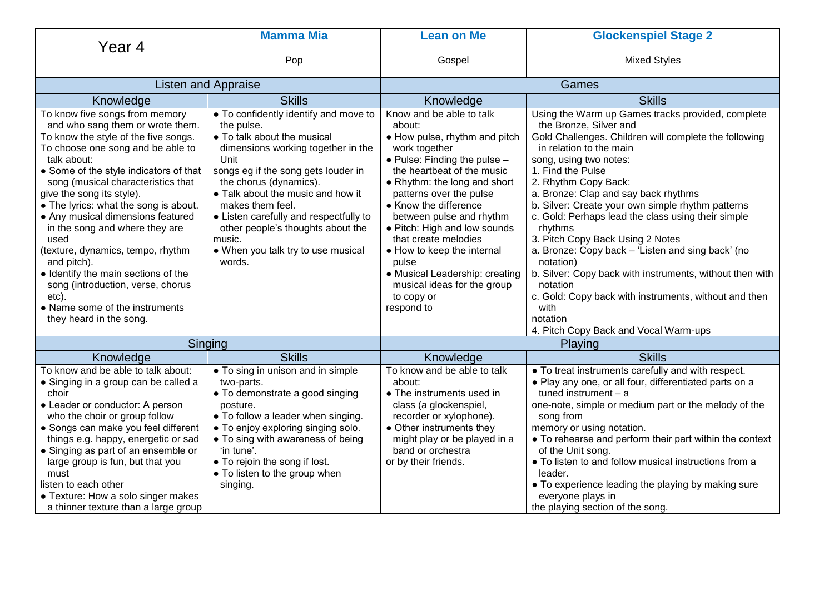|                                                                                                                                                                                                                                                                                                                                                                                                                                                                                                                                                                                                           | <b>Mamma Mia</b>                                                                                                                                                                                                                                                                                                                                                                                    | <b>Lean on Me</b>                                                                                                                                                                                                                                                                                                                                                                                                                                                      | <b>Glockenspiel Stage 2</b>                                                                                                                                                                                                                                                                                                                                                                                                                                                                                                                                                                                                                                                                              |
|-----------------------------------------------------------------------------------------------------------------------------------------------------------------------------------------------------------------------------------------------------------------------------------------------------------------------------------------------------------------------------------------------------------------------------------------------------------------------------------------------------------------------------------------------------------------------------------------------------------|-----------------------------------------------------------------------------------------------------------------------------------------------------------------------------------------------------------------------------------------------------------------------------------------------------------------------------------------------------------------------------------------------------|------------------------------------------------------------------------------------------------------------------------------------------------------------------------------------------------------------------------------------------------------------------------------------------------------------------------------------------------------------------------------------------------------------------------------------------------------------------------|----------------------------------------------------------------------------------------------------------------------------------------------------------------------------------------------------------------------------------------------------------------------------------------------------------------------------------------------------------------------------------------------------------------------------------------------------------------------------------------------------------------------------------------------------------------------------------------------------------------------------------------------------------------------------------------------------------|
| Year <sub>4</sub>                                                                                                                                                                                                                                                                                                                                                                                                                                                                                                                                                                                         |                                                                                                                                                                                                                                                                                                                                                                                                     |                                                                                                                                                                                                                                                                                                                                                                                                                                                                        |                                                                                                                                                                                                                                                                                                                                                                                                                                                                                                                                                                                                                                                                                                          |
|                                                                                                                                                                                                                                                                                                                                                                                                                                                                                                                                                                                                           | Pop                                                                                                                                                                                                                                                                                                                                                                                                 | Gospel                                                                                                                                                                                                                                                                                                                                                                                                                                                                 | <b>Mixed Styles</b>                                                                                                                                                                                                                                                                                                                                                                                                                                                                                                                                                                                                                                                                                      |
|                                                                                                                                                                                                                                                                                                                                                                                                                                                                                                                                                                                                           | <b>Listen and Appraise</b>                                                                                                                                                                                                                                                                                                                                                                          |                                                                                                                                                                                                                                                                                                                                                                                                                                                                        | Games                                                                                                                                                                                                                                                                                                                                                                                                                                                                                                                                                                                                                                                                                                    |
| Knowledge                                                                                                                                                                                                                                                                                                                                                                                                                                                                                                                                                                                                 | <b>Skills</b>                                                                                                                                                                                                                                                                                                                                                                                       | Knowledge                                                                                                                                                                                                                                                                                                                                                                                                                                                              | <b>Skills</b>                                                                                                                                                                                                                                                                                                                                                                                                                                                                                                                                                                                                                                                                                            |
| To know five songs from memory<br>and who sang them or wrote them.<br>To know the style of the five songs.<br>To choose one song and be able to<br>talk about:<br>• Some of the style indicators of that<br>song (musical characteristics that<br>give the song its style).<br>• The lyrics: what the song is about.<br>• Any musical dimensions featured<br>in the song and where they are<br>used<br>(texture, dynamics, tempo, rhythm<br>and pitch).<br>• Identify the main sections of the<br>song (introduction, verse, chorus<br>etc).<br>• Name some of the instruments<br>they heard in the song. | . To confidently identify and move to<br>the pulse.<br>• To talk about the musical<br>dimensions working together in the<br>Unit<br>songs eg if the song gets louder in<br>the chorus (dynamics).<br>• Talk about the music and how it<br>makes them feel.<br>• Listen carefully and respectfully to<br>other people's thoughts about the<br>music.<br>. When you talk try to use musical<br>words. | Know and be able to talk<br>about:<br>• How pulse, rhythm and pitch<br>work together<br>$\bullet$ Pulse: Finding the pulse -<br>the heartbeat of the music<br>• Rhythm: the long and short<br>patterns over the pulse<br>• Know the difference<br>between pulse and rhythm<br>• Pitch: High and low sounds<br>that create melodies<br>• How to keep the internal<br>pulse<br>• Musical Leadership: creating<br>musical ideas for the group<br>to copy or<br>respond to | Using the Warm up Games tracks provided, complete<br>the Bronze, Silver and<br>Gold Challenges. Children will complete the following<br>in relation to the main<br>song, using two notes:<br>1. Find the Pulse<br>2. Rhythm Copy Back:<br>a. Bronze: Clap and say back rhythms<br>b. Silver: Create your own simple rhythm patterns<br>c. Gold: Perhaps lead the class using their simple<br>rhythms<br>3. Pitch Copy Back Using 2 Notes<br>a. Bronze: Copy back - 'Listen and sing back' (no<br>notation)<br>b. Silver: Copy back with instruments, without then with<br>notation<br>c. Gold: Copy back with instruments, without and then<br>with<br>notation<br>4. Pitch Copy Back and Vocal Warm-ups |
|                                                                                                                                                                                                                                                                                                                                                                                                                                                                                                                                                                                                           | Singing                                                                                                                                                                                                                                                                                                                                                                                             |                                                                                                                                                                                                                                                                                                                                                                                                                                                                        | Playing                                                                                                                                                                                                                                                                                                                                                                                                                                                                                                                                                                                                                                                                                                  |
| Knowledge                                                                                                                                                                                                                                                                                                                                                                                                                                                                                                                                                                                                 | <b>Skills</b>                                                                                                                                                                                                                                                                                                                                                                                       | Knowledge                                                                                                                                                                                                                                                                                                                                                                                                                                                              | <b>Skills</b>                                                                                                                                                                                                                                                                                                                                                                                                                                                                                                                                                                                                                                                                                            |
| To know and be able to talk about:<br>• Singing in a group can be called a<br>choir<br>• Leader or conductor: A person<br>who the choir or group follow<br>• Songs can make you feel different<br>things e.g. happy, energetic or sad<br>• Singing as part of an ensemble or<br>large group is fun, but that you<br>must<br>listen to each other<br>• Texture: How a solo singer makes<br>a thinner texture than a large group                                                                                                                                                                            | • To sing in unison and in simple<br>two-parts.<br>• To demonstrate a good singing<br>posture.<br>• To follow a leader when singing.<br>• To enjoy exploring singing solo.<br>• To sing with awareness of being<br>'in tune'.<br>• To rejoin the song if lost.<br>• To listen to the group when<br>singing.                                                                                         | To know and be able to talk<br>about:<br>• The instruments used in<br>class (a glockenspiel,<br>recorder or xylophone).<br>• Other instruments they<br>might play or be played in a<br>band or orchestra<br>or by their friends.                                                                                                                                                                                                                                       | . To treat instruments carefully and with respect.<br>. Play any one, or all four, differentiated parts on a<br>tuned instrument $-$ a<br>one-note, simple or medium part or the melody of the<br>song from<br>memory or using notation.<br>• To rehearse and perform their part within the context<br>of the Unit song.<br>. To listen to and follow musical instructions from a<br>leader.<br>• To experience leading the playing by making sure<br>everyone plays in<br>the playing section of the song.                                                                                                                                                                                              |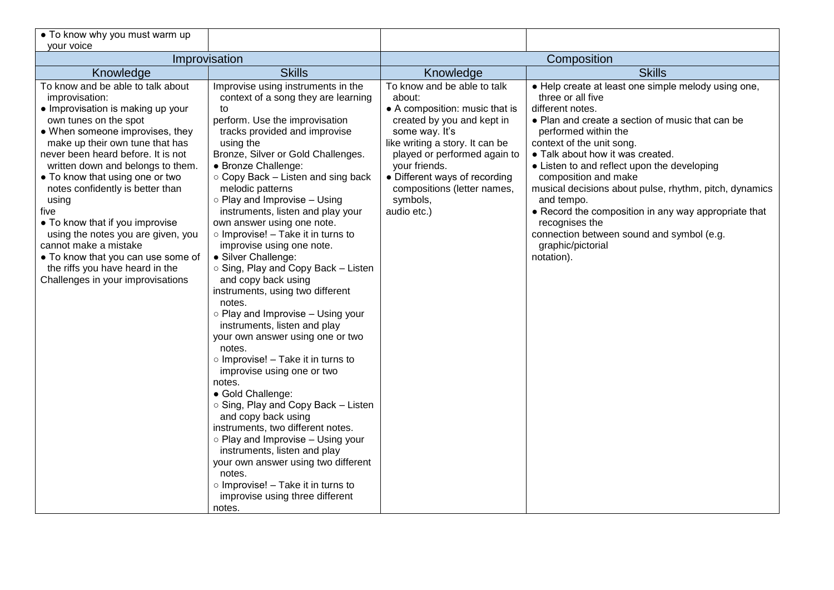| • To know why you must warm up                                       |                                                                 |                                              |                                                                          |
|----------------------------------------------------------------------|-----------------------------------------------------------------|----------------------------------------------|--------------------------------------------------------------------------|
| your voice                                                           |                                                                 |                                              |                                                                          |
| Improvisation                                                        |                                                                 | Composition                                  |                                                                          |
| Knowledge<br>To know and be able to talk about                       | <b>Skills</b><br>Improvise using instruments in the             | Knowledge<br>To know and be able to talk     | <b>Skills</b>                                                            |
| improvisation:                                                       | context of a song they are learning                             | about:                                       | • Help create at least one simple melody using one,<br>three or all five |
| • Improvisation is making up your                                    | to                                                              | • A composition: music that is               | different notes.                                                         |
| own tunes on the spot<br>• When someone improvises, they             | perform. Use the improvisation<br>tracks provided and improvise | created by you and kept in<br>some way. It's | • Plan and create a section of music that can be<br>performed within the |
| make up their own tune that has                                      | using the                                                       | like writing a story. It can be              | context of the unit song.                                                |
| never been heard before. It is not                                   | Bronze, Silver or Gold Challenges.                              | played or performed again to                 | • Talk about how it was created.                                         |
| written down and belongs to them.                                    | · Bronze Challenge:                                             | your friends.                                | • Listen to and reflect upon the developing                              |
| . To know that using one or two                                      | ○ Copy Back – Listen and sing back                              | • Different ways of recording                | composition and make                                                     |
| notes confidently is better than<br>using                            | melodic patterns<br>o Play and Improvise - Using                | compositions (letter names,<br>symbols,      | musical decisions about pulse, rhythm, pitch, dynamics<br>and tempo.     |
| five                                                                 | instruments, listen and play your                               | audio etc.)                                  | • Record the composition in any way appropriate that                     |
| • To know that if you improvise                                      | own answer using one note.                                      |                                              | recognises the                                                           |
| using the notes you are given, you                                   | o Improvise! - Take it in turns to                              |                                              | connection between sound and symbol (e.g.                                |
| cannot make a mistake                                                | improvise using one note.                                       |                                              | graphic/pictorial                                                        |
| • To know that you can use some of                                   | • Silver Challenge:                                             |                                              | notation).                                                               |
| the riffs you have heard in the<br>Challenges in your improvisations | ○ Sing, Play and Copy Back – Listen<br>and copy back using      |                                              |                                                                          |
|                                                                      | instruments, using two different                                |                                              |                                                                          |
|                                                                      | notes.                                                          |                                              |                                                                          |
|                                                                      | o Play and Improvise - Using your                               |                                              |                                                                          |
|                                                                      | instruments, listen and play                                    |                                              |                                                                          |
|                                                                      | your own answer using one or two<br>notes.                      |                                              |                                                                          |
|                                                                      | $\circ$ Improvise! - Take it in turns to                        |                                              |                                                                          |
|                                                                      | improvise using one or two                                      |                                              |                                                                          |
|                                                                      | notes.                                                          |                                              |                                                                          |
|                                                                      | • Gold Challenge:                                               |                                              |                                                                          |
|                                                                      | ○ Sing, Play and Copy Back – Listen                             |                                              |                                                                          |
|                                                                      | and copy back using<br>instruments, two different notes.        |                                              |                                                                          |
|                                                                      | o Play and Improvise - Using your                               |                                              |                                                                          |
|                                                                      | instruments, listen and play                                    |                                              |                                                                          |
|                                                                      | your own answer using two different                             |                                              |                                                                          |
|                                                                      | notes.                                                          |                                              |                                                                          |
|                                                                      | $\circ$ Improvise! - Take it in turns to                        |                                              |                                                                          |
|                                                                      | improvise using three different                                 |                                              |                                                                          |
|                                                                      | notes.                                                          |                                              |                                                                          |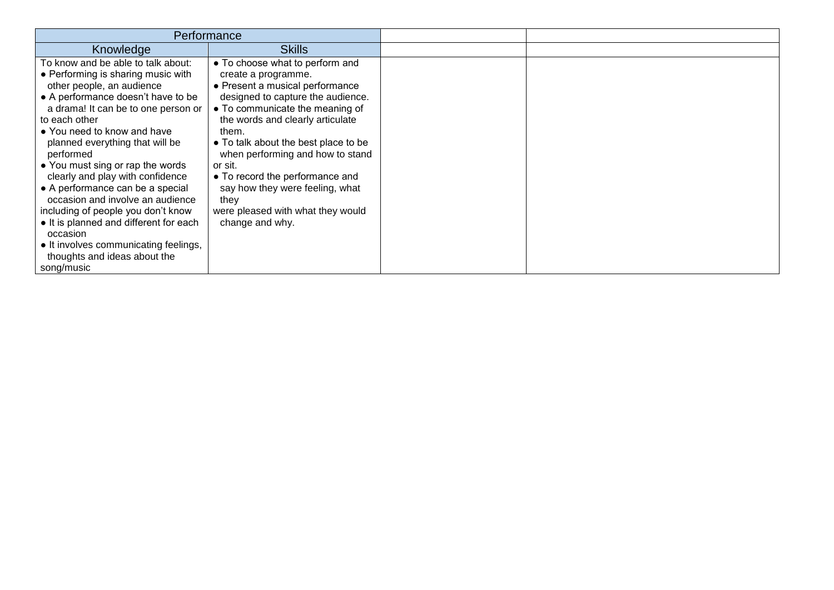| Performance                                                                                                                                                                                                                                                                                                                                                                                                                                                                                                                                                                                             |                                                                                                                                                                                                                                                                                                                                                                                                                                             |  |
|---------------------------------------------------------------------------------------------------------------------------------------------------------------------------------------------------------------------------------------------------------------------------------------------------------------------------------------------------------------------------------------------------------------------------------------------------------------------------------------------------------------------------------------------------------------------------------------------------------|---------------------------------------------------------------------------------------------------------------------------------------------------------------------------------------------------------------------------------------------------------------------------------------------------------------------------------------------------------------------------------------------------------------------------------------------|--|
| Knowledge                                                                                                                                                                                                                                                                                                                                                                                                                                                                                                                                                                                               | <b>Skills</b>                                                                                                                                                                                                                                                                                                                                                                                                                               |  |
| To know and be able to talk about:<br>• Performing is sharing music with<br>other people, an audience<br>• A performance doesn't have to be<br>a drama! It can be to one person or<br>to each other<br>• You need to know and have<br>planned everything that will be<br>performed<br>• You must sing or rap the words<br>clearly and play with confidence<br>• A performance can be a special<br>occasion and involve an audience<br>including of people you don't know<br>• It is planned and different for each<br>occasion<br>• It involves communicating feelings,<br>thoughts and ideas about the | • To choose what to perform and<br>create a programme.<br>• Present a musical performance<br>designed to capture the audience.<br>• To communicate the meaning of<br>the words and clearly articulate<br>them.<br>• To talk about the best place to be<br>when performing and how to stand<br>or sit.<br>• To record the performance and<br>say how they were feeling, what<br>they<br>were pleased with what they would<br>change and why. |  |
| song/music                                                                                                                                                                                                                                                                                                                                                                                                                                                                                                                                                                                              |                                                                                                                                                                                                                                                                                                                                                                                                                                             |  |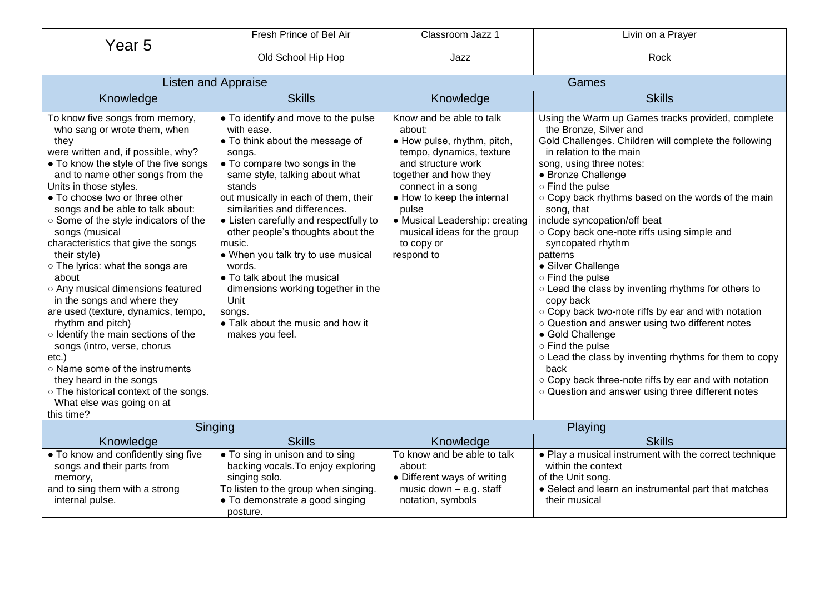|                                                                                                                                                                                                                                                                                                                                                                                                                                                                                                                                                                                                                                                                                                                                                                                                                             | Fresh Prince of Bel Air                                                                                                                                                                                                                                                                                                                                                                                                                                                                                                                      | Classroom Jazz 1                                                                                                                                                                                                                                                                                      | Livin on a Prayer                                                                                                                                                                                                                                                                                                                                                                                                                                                                                                                                                                                                                                                                                                                                                                                                                                                         |
|-----------------------------------------------------------------------------------------------------------------------------------------------------------------------------------------------------------------------------------------------------------------------------------------------------------------------------------------------------------------------------------------------------------------------------------------------------------------------------------------------------------------------------------------------------------------------------------------------------------------------------------------------------------------------------------------------------------------------------------------------------------------------------------------------------------------------------|----------------------------------------------------------------------------------------------------------------------------------------------------------------------------------------------------------------------------------------------------------------------------------------------------------------------------------------------------------------------------------------------------------------------------------------------------------------------------------------------------------------------------------------------|-------------------------------------------------------------------------------------------------------------------------------------------------------------------------------------------------------------------------------------------------------------------------------------------------------|---------------------------------------------------------------------------------------------------------------------------------------------------------------------------------------------------------------------------------------------------------------------------------------------------------------------------------------------------------------------------------------------------------------------------------------------------------------------------------------------------------------------------------------------------------------------------------------------------------------------------------------------------------------------------------------------------------------------------------------------------------------------------------------------------------------------------------------------------------------------------|
| Year <sub>5</sub>                                                                                                                                                                                                                                                                                                                                                                                                                                                                                                                                                                                                                                                                                                                                                                                                           | Old School Hip Hop                                                                                                                                                                                                                                                                                                                                                                                                                                                                                                                           | Jazz                                                                                                                                                                                                                                                                                                  | Rock                                                                                                                                                                                                                                                                                                                                                                                                                                                                                                                                                                                                                                                                                                                                                                                                                                                                      |
| <b>Listen and Appraise</b>                                                                                                                                                                                                                                                                                                                                                                                                                                                                                                                                                                                                                                                                                                                                                                                                  |                                                                                                                                                                                                                                                                                                                                                                                                                                                                                                                                              | Games                                                                                                                                                                                                                                                                                                 |                                                                                                                                                                                                                                                                                                                                                                                                                                                                                                                                                                                                                                                                                                                                                                                                                                                                           |
| Knowledge                                                                                                                                                                                                                                                                                                                                                                                                                                                                                                                                                                                                                                                                                                                                                                                                                   | <b>Skills</b>                                                                                                                                                                                                                                                                                                                                                                                                                                                                                                                                | Knowledge                                                                                                                                                                                                                                                                                             | <b>Skills</b>                                                                                                                                                                                                                                                                                                                                                                                                                                                                                                                                                                                                                                                                                                                                                                                                                                                             |
| To know five songs from memory,<br>who sang or wrote them, when<br>they<br>were written and, if possible, why?<br>• To know the style of the five songs<br>and to name other songs from the<br>Units in those styles.<br>• To choose two or three other<br>songs and be able to talk about:<br>○ Some of the style indicators of the<br>songs (musical<br>characteristics that give the songs<br>their style)<br>o The lyrics: what the songs are<br>about<br>o Any musical dimensions featured<br>in the songs and where they<br>are used (texture, dynamics, tempo,<br>rhythm and pitch)<br>o Identify the main sections of the<br>songs (intro, verse, chorus<br>etc.)<br>o Name some of the instruments<br>they heard in the songs<br>o The historical context of the songs.<br>What else was going on at<br>this time? | • To identify and move to the pulse<br>with ease.<br>• To think about the message of<br>songs.<br>• To compare two songs in the<br>same style, talking about what<br>stands<br>out musically in each of them, their<br>similarities and differences.<br>• Listen carefully and respectfully to<br>other people's thoughts about the<br>music.<br>• When you talk try to use musical<br>words.<br>• To talk about the musical<br>dimensions working together in the<br>Unit<br>songs.<br>• Talk about the music and how it<br>makes you feel. | Know and be able to talk<br>about:<br>· How pulse, rhythm, pitch,<br>tempo, dynamics, texture<br>and structure work<br>together and how they<br>connect in a song<br>• How to keep the internal<br>pulse<br>• Musical Leadership: creating<br>musical ideas for the group<br>to copy or<br>respond to | Using the Warm up Games tracks provided, complete<br>the Bronze, Silver and<br>Gold Challenges. Children will complete the following<br>in relation to the main<br>song, using three notes:<br>• Bronze Challenge<br>o Find the pulse<br>o Copy back rhythms based on the words of the main<br>song, that<br>include syncopation/off beat<br>o Copy back one-note riffs using simple and<br>syncopated rhythm<br>patterns<br>• Silver Challenge<br>o Find the pulse<br>o Lead the class by inventing rhythms for others to<br>copy back<br>○ Copy back two-note riffs by ear and with notation<br>o Question and answer using two different notes<br>• Gold Challenge<br>o Find the pulse<br>○ Lead the class by inventing rhythms for them to copy<br>back<br>○ Copy back three-note riffs by ear and with notation<br>o Question and answer using three different notes |
| Singing                                                                                                                                                                                                                                                                                                                                                                                                                                                                                                                                                                                                                                                                                                                                                                                                                     |                                                                                                                                                                                                                                                                                                                                                                                                                                                                                                                                              |                                                                                                                                                                                                                                                                                                       | Playing                                                                                                                                                                                                                                                                                                                                                                                                                                                                                                                                                                                                                                                                                                                                                                                                                                                                   |
| Knowledge<br>• To know and confidently sing five<br>songs and their parts from<br>memory,<br>and to sing them with a strong<br>internal pulse.                                                                                                                                                                                                                                                                                                                                                                                                                                                                                                                                                                                                                                                                              | <b>Skills</b><br>• To sing in unison and to sing<br>backing vocals. To enjoy exploring<br>singing solo.<br>To listen to the group when singing.<br>• To demonstrate a good singing                                                                                                                                                                                                                                                                                                                                                           | Knowledge<br>To know and be able to talk<br>about:<br>• Different ways of writing<br>music down - e.g. staff<br>notation, symbols                                                                                                                                                                     | <b>Skills</b><br>• Play a musical instrument with the correct technique<br>within the context<br>of the Unit song.<br>• Select and learn an instrumental part that matches<br>their musical                                                                                                                                                                                                                                                                                                                                                                                                                                                                                                                                                                                                                                                                               |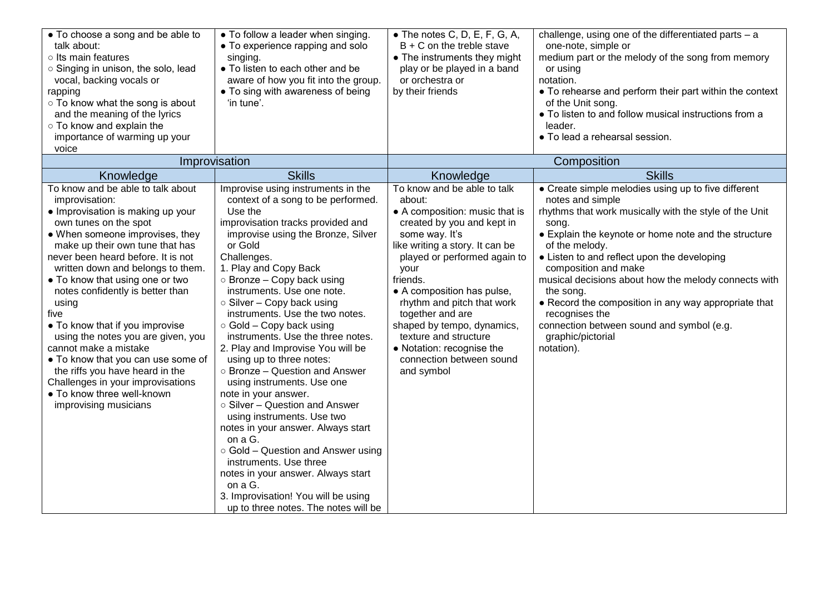| • To choose a song and be able to<br>talk about:<br>o Its main features<br>o Singing in unison, the solo, lead<br>vocal, backing vocals or<br>rapping<br>o To know what the song is about<br>and the meaning of the lyrics<br>o To know and explain the<br>importance of warming up your<br>voice                                                                                                                                                                                                                                                                                                                                              | • To follow a leader when singing.<br>• To experience rapping and solo<br>singing.<br>• To listen to each other and be<br>aware of how you fit into the group.<br>• To sing with awareness of being<br>'in tune'.                                                                                                                                                                                                                                                                                                                                                                                                                                                                                                                                                                                                                                                                                                      | $\bullet$ The notes C, D, E, F, G, A,<br>$B + C$ on the treble stave<br>• The instruments they might<br>play or be played in a band<br>or orchestra or<br>by their friends                                                                                                                                                                                                                                                                | challenge, using one of the differentiated parts - a<br>one-note, simple or<br>medium part or the melody of the song from memory<br>or using<br>notation.<br>• To rehearse and perform their part within the context<br>of the Unit song.<br>• To listen to and follow musical instructions from a<br>leader.<br>• To lead a rehearsal session.                                                                                                                                                                                             |
|------------------------------------------------------------------------------------------------------------------------------------------------------------------------------------------------------------------------------------------------------------------------------------------------------------------------------------------------------------------------------------------------------------------------------------------------------------------------------------------------------------------------------------------------------------------------------------------------------------------------------------------------|------------------------------------------------------------------------------------------------------------------------------------------------------------------------------------------------------------------------------------------------------------------------------------------------------------------------------------------------------------------------------------------------------------------------------------------------------------------------------------------------------------------------------------------------------------------------------------------------------------------------------------------------------------------------------------------------------------------------------------------------------------------------------------------------------------------------------------------------------------------------------------------------------------------------|-------------------------------------------------------------------------------------------------------------------------------------------------------------------------------------------------------------------------------------------------------------------------------------------------------------------------------------------------------------------------------------------------------------------------------------------|---------------------------------------------------------------------------------------------------------------------------------------------------------------------------------------------------------------------------------------------------------------------------------------------------------------------------------------------------------------------------------------------------------------------------------------------------------------------------------------------------------------------------------------------|
|                                                                                                                                                                                                                                                                                                                                                                                                                                                                                                                                                                                                                                                | Improvisation                                                                                                                                                                                                                                                                                                                                                                                                                                                                                                                                                                                                                                                                                                                                                                                                                                                                                                          |                                                                                                                                                                                                                                                                                                                                                                                                                                           | Composition                                                                                                                                                                                                                                                                                                                                                                                                                                                                                                                                 |
| Knowledge<br>To know and be able to talk about<br>improvisation:<br>• Improvisation is making up your<br>own tunes on the spot<br>• When someone improvises, they<br>make up their own tune that has<br>never been heard before. It is not<br>written down and belongs to them.<br>• To know that using one or two<br>notes confidently is better than<br>using<br>five<br>• To know that if you improvise<br>using the notes you are given, you<br>cannot make a mistake<br>• To know that you can use some of<br>the riffs you have heard in the<br>Challenges in your improvisations<br>• To know three well-known<br>improvising musicians | <b>Skills</b><br>Improvise using instruments in the<br>context of a song to be performed.<br>Use the<br>improvisation tracks provided and<br>improvise using the Bronze, Silver<br>or Gold<br>Challenges.<br>1. Play and Copy Back<br>○ Bronze - Copy back using<br>instruments. Use one note.<br>○ Silver - Copy back using<br>instruments. Use the two notes.<br>$\circ$ Gold – Copy back using<br>instruments. Use the three notes.<br>2. Play and Improvise You will be<br>using up to three notes:<br>○ Bronze – Question and Answer<br>using instruments. Use one<br>note in your answer.<br>$\circ$ Silver – Question and Answer<br>using instruments. Use two<br>notes in your answer. Always start<br>on a G.<br>o Gold - Question and Answer using<br>instruments. Use three<br>notes in your answer. Always start<br>on a G.<br>3. Improvisation! You will be using<br>up to three notes. The notes will be | Knowledge<br>To know and be able to talk<br>about:<br>• A composition: music that is<br>created by you and kept in<br>some way. It's<br>like writing a story. It can be<br>played or performed again to<br>your<br>friends.<br>• A composition has pulse,<br>rhythm and pitch that work<br>together and are<br>shaped by tempo, dynamics,<br>texture and structure<br>• Notation: recognise the<br>connection between sound<br>and symbol | <b>Skills</b><br>• Create simple melodies using up to five different<br>notes and simple<br>rhythms that work musically with the style of the Unit<br>song.<br>• Explain the keynote or home note and the structure<br>of the melody.<br>• Listen to and reflect upon the developing<br>composition and make<br>musical decisions about how the melody connects with<br>the song.<br>• Record the composition in any way appropriate that<br>recognises the<br>connection between sound and symbol (e.g.<br>graphic/pictorial<br>notation). |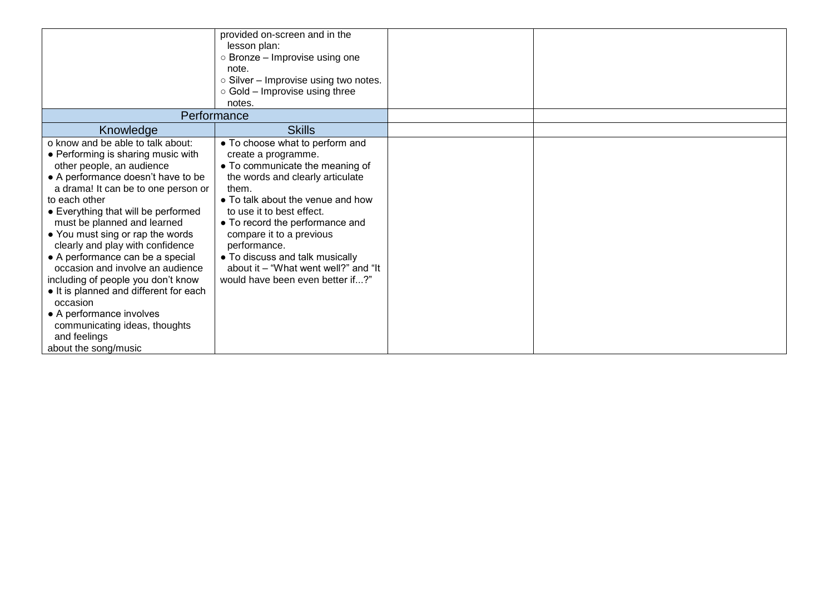|                                                                                                                                                                                                                                                                                                                                                                                                                                                                                                                                                                                                                           | provided on-screen and in the<br>lesson plan:<br>$\circ$ Bronze – Improvise using one<br>note.<br>o Silver - Improvise using two notes.<br>$\circ$ Gold – Improvise using three                                                                                                                                                                                                                        |  |
|---------------------------------------------------------------------------------------------------------------------------------------------------------------------------------------------------------------------------------------------------------------------------------------------------------------------------------------------------------------------------------------------------------------------------------------------------------------------------------------------------------------------------------------------------------------------------------------------------------------------------|--------------------------------------------------------------------------------------------------------------------------------------------------------------------------------------------------------------------------------------------------------------------------------------------------------------------------------------------------------------------------------------------------------|--|
|                                                                                                                                                                                                                                                                                                                                                                                                                                                                                                                                                                                                                           | notes.<br>Performance                                                                                                                                                                                                                                                                                                                                                                                  |  |
| Knowledge                                                                                                                                                                                                                                                                                                                                                                                                                                                                                                                                                                                                                 | <b>Skills</b>                                                                                                                                                                                                                                                                                                                                                                                          |  |
| o know and be able to talk about:<br>• Performing is sharing music with<br>other people, an audience<br>• A performance doesn't have to be<br>a drama! It can be to one person or<br>to each other<br>• Everything that will be performed<br>must be planned and learned<br>• You must sing or rap the words<br>clearly and play with confidence<br>• A performance can be a special<br>occasion and involve an audience<br>including of people you don't know<br>• It is planned and different for each<br>occasion<br>• A performance involves<br>communicating ideas, thoughts<br>and feelings<br>about the song/music | • To choose what to perform and<br>create a programme.<br>• To communicate the meaning of<br>the words and clearly articulate<br>them.<br>• To talk about the venue and how<br>to use it to best effect.<br>• To record the performance and<br>compare it to a previous<br>performance.<br>• To discuss and talk musically<br>about it – "What went well?" and "It<br>would have been even better if?" |  |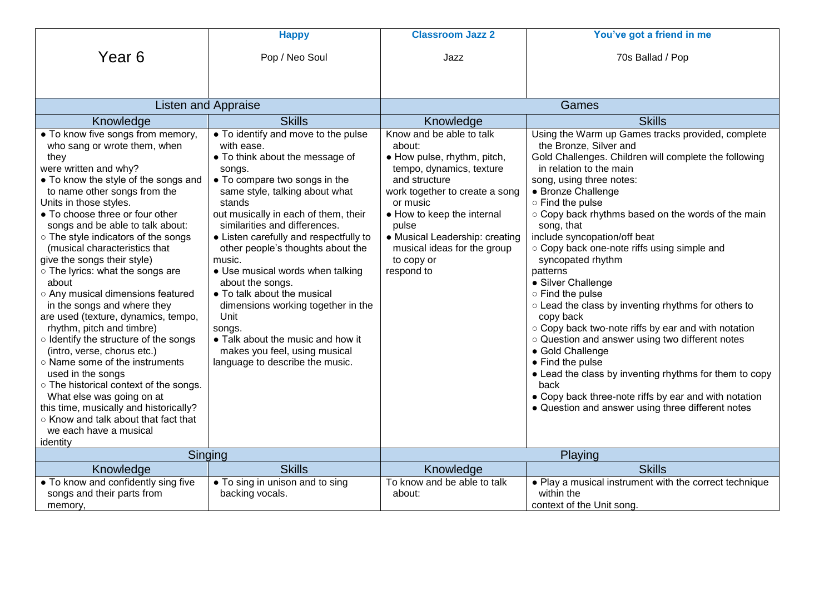|                                                                                                                                                                                                                                                                                                                                                                                                                                                                                                                                                                                                                                                                                                                                                                                                                                                                                                       | <b>Happy</b>                                                                                                                                                                                                                                                                                                                                                                                                                                                                                                                                                                                          | <b>Classroom Jazz 2</b>                                                                                                                                                                                                                                                                          | You've got a friend in me                                                                                                                                                                                                                                                                                                                                                                                                                                                                                                                                                                                                                                                                                                                                                                                                                                                 |
|-------------------------------------------------------------------------------------------------------------------------------------------------------------------------------------------------------------------------------------------------------------------------------------------------------------------------------------------------------------------------------------------------------------------------------------------------------------------------------------------------------------------------------------------------------------------------------------------------------------------------------------------------------------------------------------------------------------------------------------------------------------------------------------------------------------------------------------------------------------------------------------------------------|-------------------------------------------------------------------------------------------------------------------------------------------------------------------------------------------------------------------------------------------------------------------------------------------------------------------------------------------------------------------------------------------------------------------------------------------------------------------------------------------------------------------------------------------------------------------------------------------------------|--------------------------------------------------------------------------------------------------------------------------------------------------------------------------------------------------------------------------------------------------------------------------------------------------|---------------------------------------------------------------------------------------------------------------------------------------------------------------------------------------------------------------------------------------------------------------------------------------------------------------------------------------------------------------------------------------------------------------------------------------------------------------------------------------------------------------------------------------------------------------------------------------------------------------------------------------------------------------------------------------------------------------------------------------------------------------------------------------------------------------------------------------------------------------------------|
| Year <sub>6</sub>                                                                                                                                                                                                                                                                                                                                                                                                                                                                                                                                                                                                                                                                                                                                                                                                                                                                                     | Pop / Neo Soul                                                                                                                                                                                                                                                                                                                                                                                                                                                                                                                                                                                        | Jazz                                                                                                                                                                                                                                                                                             | 70s Ballad / Pop                                                                                                                                                                                                                                                                                                                                                                                                                                                                                                                                                                                                                                                                                                                                                                                                                                                          |
|                                                                                                                                                                                                                                                                                                                                                                                                                                                                                                                                                                                                                                                                                                                                                                                                                                                                                                       |                                                                                                                                                                                                                                                                                                                                                                                                                                                                                                                                                                                                       |                                                                                                                                                                                                                                                                                                  |                                                                                                                                                                                                                                                                                                                                                                                                                                                                                                                                                                                                                                                                                                                                                                                                                                                                           |
| <b>Listen and Appraise</b>                                                                                                                                                                                                                                                                                                                                                                                                                                                                                                                                                                                                                                                                                                                                                                                                                                                                            |                                                                                                                                                                                                                                                                                                                                                                                                                                                                                                                                                                                                       |                                                                                                                                                                                                                                                                                                  | Games                                                                                                                                                                                                                                                                                                                                                                                                                                                                                                                                                                                                                                                                                                                                                                                                                                                                     |
| Knowledge                                                                                                                                                                                                                                                                                                                                                                                                                                                                                                                                                                                                                                                                                                                                                                                                                                                                                             | <b>Skills</b>                                                                                                                                                                                                                                                                                                                                                                                                                                                                                                                                                                                         | Knowledge                                                                                                                                                                                                                                                                                        | <b>Skills</b>                                                                                                                                                                                                                                                                                                                                                                                                                                                                                                                                                                                                                                                                                                                                                                                                                                                             |
| • To know five songs from memory,<br>who sang or wrote them, when<br>they<br>were written and why?<br>• To know the style of the songs and<br>to name other songs from the<br>Units in those styles.<br>• To choose three or four other<br>songs and be able to talk about:<br>o The style indicators of the songs<br>(musical characteristics that<br>give the songs their style)<br>o The lyrics: what the songs are<br>about<br>o Any musical dimensions featured<br>in the songs and where they<br>are used (texture, dynamics, tempo,<br>rhythm, pitch and timbre)<br>o Identify the structure of the songs<br>(intro, verse, chorus etc.)<br>○ Name some of the instruments<br>used in the songs<br>○ The historical context of the songs.<br>What else was going on at<br>this time, musically and historically?<br>○ Know and talk about that fact that<br>we each have a musical<br>identity | • To identify and move to the pulse<br>with ease.<br>• To think about the message of<br>songs.<br>• To compare two songs in the<br>same style, talking about what<br>stands<br>out musically in each of them, their<br>similarities and differences.<br>• Listen carefully and respectfully to<br>other people's thoughts about the<br>music.<br>• Use musical words when talking<br>about the songs.<br>• To talk about the musical<br>dimensions working together in the<br>Unit<br>songs.<br>• Talk about the music and how it<br>makes you feel, using musical<br>language to describe the music. | Know and be able to talk<br>about:<br>• How pulse, rhythm, pitch,<br>tempo, dynamics, texture<br>and structure<br>work together to create a song<br>or music<br>• How to keep the internal<br>pulse<br>• Musical Leadership: creating<br>musical ideas for the group<br>to copy or<br>respond to | Using the Warm up Games tracks provided, complete<br>the Bronze, Silver and<br>Gold Challenges. Children will complete the following<br>in relation to the main<br>song, using three notes:<br>• Bronze Challenge<br>○ Find the pulse<br>○ Copy back rhythms based on the words of the main<br>song, that<br>include syncopation/off beat<br>o Copy back one-note riffs using simple and<br>syncopated rhythm<br>patterns<br>• Silver Challenge<br>○ Find the pulse<br>o Lead the class by inventing rhythms for others to<br>copy back<br>○ Copy back two-note riffs by ear and with notation<br>o Question and answer using two different notes<br>• Gold Challenge<br>• Find the pulse<br>• Lead the class by inventing rhythms for them to copy<br>back<br>• Copy back three-note riffs by ear and with notation<br>• Question and answer using three different notes |
|                                                                                                                                                                                                                                                                                                                                                                                                                                                                                                                                                                                                                                                                                                                                                                                                                                                                                                       | Singing                                                                                                                                                                                                                                                                                                                                                                                                                                                                                                                                                                                               |                                                                                                                                                                                                                                                                                                  | Playing                                                                                                                                                                                                                                                                                                                                                                                                                                                                                                                                                                                                                                                                                                                                                                                                                                                                   |
| Knowledge                                                                                                                                                                                                                                                                                                                                                                                                                                                                                                                                                                                                                                                                                                                                                                                                                                                                                             | <b>Skills</b>                                                                                                                                                                                                                                                                                                                                                                                                                                                                                                                                                                                         | Knowledge                                                                                                                                                                                                                                                                                        | <b>Skills</b>                                                                                                                                                                                                                                                                                                                                                                                                                                                                                                                                                                                                                                                                                                                                                                                                                                                             |
| • To know and confidently sing five<br>songs and their parts from<br>memory,                                                                                                                                                                                                                                                                                                                                                                                                                                                                                                                                                                                                                                                                                                                                                                                                                          | • To sing in unison and to sing<br>backing vocals.                                                                                                                                                                                                                                                                                                                                                                                                                                                                                                                                                    | To know and be able to talk<br>about:                                                                                                                                                                                                                                                            | • Play a musical instrument with the correct technique<br>within the<br>context of the Unit song.                                                                                                                                                                                                                                                                                                                                                                                                                                                                                                                                                                                                                                                                                                                                                                         |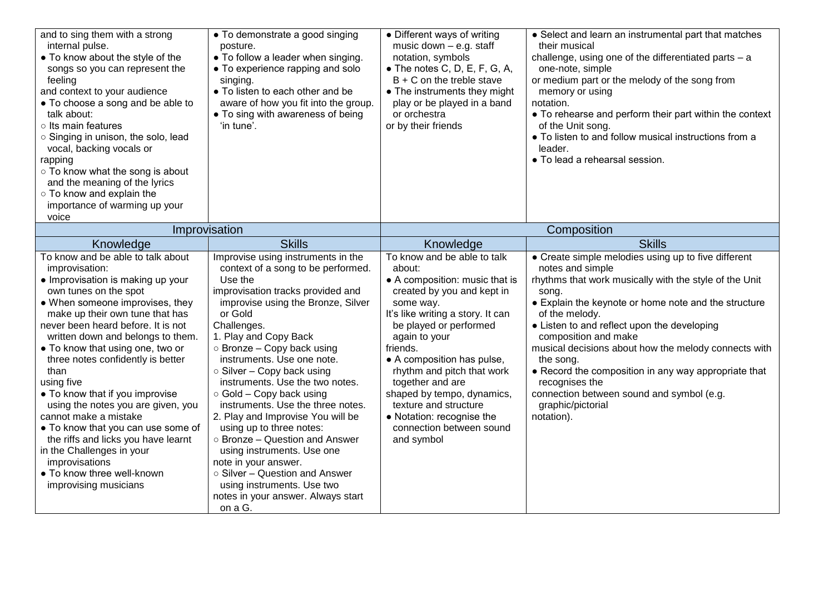| and to sing them with a strong<br>internal pulse.<br>• To know about the style of the<br>songs so you can represent the<br>feeling<br>and context to your audience<br>• To choose a song and be able to<br>talk about:<br>o Its main features<br>○ Singing in unison, the solo, lead<br>vocal, backing vocals or<br>rapping<br>○ To know what the song is about<br>and the meaning of the lyrics<br>o To know and explain the<br>importance of warming up your<br>voice                                                                                                                                                                                | • To demonstrate a good singing<br>posture.<br>• To follow a leader when singing.<br>• To experience rapping and solo<br>singing.<br>• To listen to each other and be<br>aware of how you fit into the group.<br>• To sing with awareness of being<br>'in tune'.                                                                                                                                                                                                                                                                                                                                                                                                                                            | • Different ways of writing<br>music down $-$ e.g. staff<br>notation, symbols<br>$\bullet$ The notes C, D, E, F, G, A,<br>$B + C$ on the treble stave<br>• The instruments they might<br>play or be played in a band<br>or orchestra<br>or by their friends                                                                                                                                                                  | • Select and learn an instrumental part that matches<br>their musical<br>challenge, using one of the differentiated parts - a<br>one-note, simple<br>or medium part or the melody of the song from<br>memory or using<br>notation.<br>• To rehearse and perform their part within the context<br>of the Unit song.<br>. To listen to and follow musical instructions from a<br>leader.<br>· To lead a rehearsal session.                                                                                                   |
|--------------------------------------------------------------------------------------------------------------------------------------------------------------------------------------------------------------------------------------------------------------------------------------------------------------------------------------------------------------------------------------------------------------------------------------------------------------------------------------------------------------------------------------------------------------------------------------------------------------------------------------------------------|-------------------------------------------------------------------------------------------------------------------------------------------------------------------------------------------------------------------------------------------------------------------------------------------------------------------------------------------------------------------------------------------------------------------------------------------------------------------------------------------------------------------------------------------------------------------------------------------------------------------------------------------------------------------------------------------------------------|------------------------------------------------------------------------------------------------------------------------------------------------------------------------------------------------------------------------------------------------------------------------------------------------------------------------------------------------------------------------------------------------------------------------------|----------------------------------------------------------------------------------------------------------------------------------------------------------------------------------------------------------------------------------------------------------------------------------------------------------------------------------------------------------------------------------------------------------------------------------------------------------------------------------------------------------------------------|
|                                                                                                                                                                                                                                                                                                                                                                                                                                                                                                                                                                                                                                                        | Improvisation                                                                                                                                                                                                                                                                                                                                                                                                                                                                                                                                                                                                                                                                                               | Composition                                                                                                                                                                                                                                                                                                                                                                                                                  |                                                                                                                                                                                                                                                                                                                                                                                                                                                                                                                            |
| Knowledge                                                                                                                                                                                                                                                                                                                                                                                                                                                                                                                                                                                                                                              | <b>Skills</b>                                                                                                                                                                                                                                                                                                                                                                                                                                                                                                                                                                                                                                                                                               | Knowledge                                                                                                                                                                                                                                                                                                                                                                                                                    | <b>Skills</b>                                                                                                                                                                                                                                                                                                                                                                                                                                                                                                              |
| To know and be able to talk about<br>improvisation:<br>• Improvisation is making up your<br>own tunes on the spot<br>• When someone improvises, they<br>make up their own tune that has<br>never been heard before. It is not<br>written down and belongs to them.<br>• To know that using one, two or<br>three notes confidently is better<br>than<br>using five<br>• To know that if you improvise<br>using the notes you are given, you<br>cannot make a mistake<br>• To know that you can use some of<br>the riffs and licks you have learnt<br>in the Challenges in your<br>improvisations<br>• To know three well-known<br>improvising musicians | Improvise using instruments in the<br>context of a song to be performed.<br>Use the<br>improvisation tracks provided and<br>improvise using the Bronze, Silver<br>or Gold<br>Challenges.<br>1. Play and Copy Back<br>$\circ$ Bronze – Copy back using<br>instruments. Use one note.<br>$\circ$ Silver - Copy back using<br>instruments. Use the two notes.<br>$\circ$ Gold – Copy back using<br>instruments. Use the three notes.<br>2. Play and Improvise You will be<br>using up to three notes:<br>○ Bronze – Question and Answer<br>using instruments. Use one<br>note in your answer.<br>○ Silver – Question and Answer<br>using instruments. Use two<br>notes in your answer. Always start<br>on a G. | To know and be able to talk<br>about:<br>• A composition: music that is<br>created by you and kept in<br>some way.<br>It's like writing a story. It can<br>be played or performed<br>again to your<br>friends.<br>• A composition has pulse,<br>rhythm and pitch that work<br>together and are<br>shaped by tempo, dynamics,<br>texture and structure<br>• Notation: recognise the<br>connection between sound<br>and symbol | • Create simple melodies using up to five different<br>notes and simple<br>rhythms that work musically with the style of the Unit<br>song.<br>• Explain the keynote or home note and the structure<br>of the melody.<br>• Listen to and reflect upon the developing<br>composition and make<br>musical decisions about how the melody connects with<br>the song.<br>• Record the composition in any way appropriate that<br>recognises the<br>connection between sound and symbol (e.g.<br>graphic/pictorial<br>notation). |